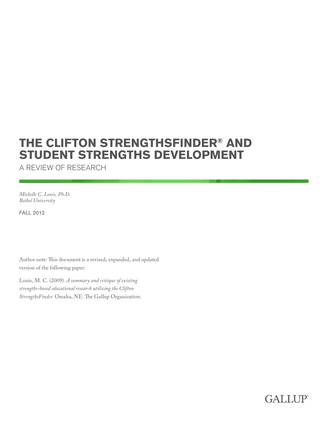# **THE CLIFTON STRENGTHSFINDER® AND STUDENT STRENGTHS DEVELOPMENT**

A REVIEW OF RESEARCH

*Michelle C. Louis, Ph.D. Bethel University*

FALL 2012

Author note: This document is a revised, expanded, and updated version of the following paper:

Louis, M. C. (2009). *A summary and critique of existing strengths-based educational research utilizing the Clifton StrengthsFinder.* Omaha, NE: The Gallup Organization.

# **GALLUP**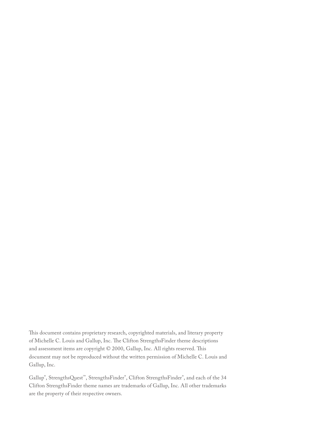This document contains proprietary research, copyrighted materials, and literary property of Michelle C. Louis and Gallup, Inc. The Clifton StrengthsFinder theme descriptions and assessment items are copyright © 2000, Gallup, Inc. All rights reserved. This document may not be reproduced without the written permission of Michelle C. Louis and Gallup, Inc.

Gallup® , StrengthsQuest™, StrengthsFinder® , Clifton StrengthsFinder® , and each of the 34 Clifton StrengthsFinder theme names are trademarks of Gallup, Inc. All other trademarks are the property of their respective owners.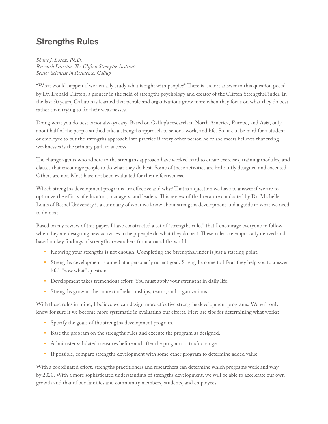# Strengths Rules

*Shane J. Lopez, Ph.D. Research Director, The Clifton Strengths Institute Senior Scientist in Residence, Gallup*

"What would happen if we actually study what is right with people?" There is a short answer to this question posed by Dr. Donald Clifton, a pioneer in the field of strengths psychology and creator of the Clifton StrengthsFinder. In the last 50 years, Gallup has learned that people and organizations grow more when they focus on what they do best rather than trying to fix their weaknesses.

Doing what you do best is not always easy. Based on Gallup's research in North America, Europe, and Asia, only about half of the people studied take a strengths approach to school, work, and life. So, it can be hard for a student or employee to put the strengths approach into practice if every other person he or she meets believes that fixing weaknesses is the primary path to success.

The change agents who adhere to the strengths approach have worked hard to create exercises, training modules, and classes that encourage people to do what they do best. Some of these activities are brilliantly designed and executed. Others are not. Most have not been evaluated for their effectiveness.

Which strengths development programs are effective and why? That is a question we have to answer if we are to optimize the efforts of educators, managers, and leaders. This review of the literature conducted by Dr. Michelle Louis of Bethel University is a summary of what we know about strengths development and a guide to what we need to do next.

Based on my review of this paper, I have constructed a set of "strengths rules" that I encourage everyone to follow when they are designing new activities to help people do what they do best. These rules are empirically derived and based on key findings of strengths researchers from around the world:

- Knowing your strengths is not enough. Completing the StrengthsFinder is just a starting point.
- Strengths development is aimed at a personally salient goal. Strengths come to life as they help you to answer life's "now what" questions.
- Development takes tremendous effort. You must apply your strengths in daily life.
- Strengths grow in the context of relationships, teams, and organizations.

With these rules in mind, I believe we can design more effective strengths development programs. We will only know for sure if we become more systematic in evaluating our efforts. Here are tips for determining what works:

- Specify the goals of the strengths development program.
- Base the program on the strengths rules and execute the program as designed.
- Administer validated measures before and after the program to track change.
- If possible, compare strengths development with some other program to determine added value.

With a coordinated effort, strengths practitioners and researchers can determine which programs work and why by 2020. With a more sophisticated understanding of strengths development, we will be able to accelerate our own growth and that of our families and community members, students, and employees.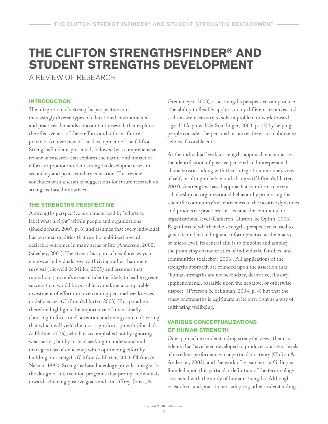# **THE CLIFTON STRENGTHSFINDER® AND STUDENT STRENGTHS DEVELOPMENT**

A REVIEW OF RESEARCH

#### **INTRODUCTION**

The integration of a strengths perspective into increasingly diverse types of educational environments and practices demands concomitant research that explores the effectiveness of these efforts and informs future practice. An overview of the development of the Clifton StrengthsFinder is presented, followed by a comprehensive review of research that explores the nature and impact of efforts to promote student strengths development within secondary and postsecondary education. This review concludes with a series of suggestions for future research on strengths-based initiatives.

#### **THE STRENGTHS PERSPECTIVE**

A strengths perspective is characterized by "efforts to label what is right" within people and organizations (Buckingham, 2007, p. 6) and assumes that every individual has personal qualities that can be mobilized toward desirable outcomes in many areas of life (Anderson, 2000; Saleebey, 2001). The strengths approach explores ways to empower individuals toward thriving rather than mere survival (Liesveld & Miller, 2005) and assumes that capitalizing on one's areas of talent is likely to lead to greater success than would be possible by making a comparable investment of effort into overcoming personal weaknesses or deficiencies (Clifton & Harter, 2003). This paradigm therefore highlights the importance of intentionally choosing to focus one's attention and energy into cultivating that which will yield the most significant growth (Shushok & Hulme, 2006), which is accomplished not by ignoring weaknesses, but by instead seeking to understand and manage areas of deficiency while optimizing effort by building on strengths (Clifton & Harter, 2003; Clifton & Nelson, 1992). Strengths-based ideology provides insight for the design of intervention programs that prompt individuals toward achieving positive goals and aims (Frey, Jonas, &

Greitemeyer, 2003), as a strengths perspective can produce "the ability to flexibly apply as many different resources and skills as are necessary to solve a problem or work toward a goal" (Aspinwall & Staudinger, 2003, p. 13) by helping people consider the personal resources they can mobilize to achieve favorable ends.

At the individual level, a strengths approach encompasses the identification of positive personal and interpersonal characteristics, along with their integration into one's view of self, resulting in behavioral changes (Clifton & Harter, 2003). A strengths-based approach also informs current scholarship on organizational behavior by promoting the scientific community's attentiveness to the positive dynamics and productive practices that exist at the communal or organizational level (Cameron, Dutton, & Quinn, 2003). Regardless of whether the strengths perspective is used to generate understanding and inform practice at the macro or micro level, its central aim is to pinpoint and amplify the promising characteristics of individuals, families, and communities (Saleebey, 2006). All applications of the strengths approach are founded upon the assertion that "human strengths are not secondary, derivative, illusory, epiphenomenal, parasitic upon the negative, or otherwise suspect" (Peterson & Seligman, 2004, p. 4) but that the study of strengths is legitimate in its own right as a way of cultivating wellbeing.

### **VARIOUS CONCEPTUALIZATIONS OF HUMAN STRENGTH**

One approach to understanding strengths views them as talents that have been developed to produce consistent levels of excellent performance in a particular activity (Clifton & Anderson, 2002), and the work of researchers at Gallup is founded upon this particular definition of the terminology associated with the study of human strengths. Although researchers and practitioners adopting other understandings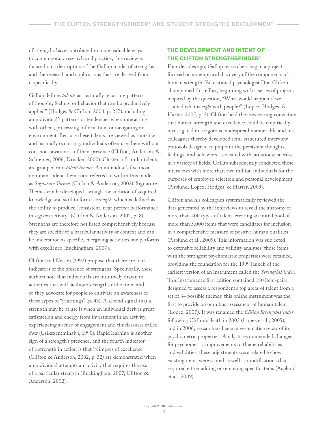of strengths have contributed in many valuable ways to contemporary research and practice, this review is focused on a description of the Gallup model of strengths and the research and applications that are derived from it specifically.

Gallup defines *talents* as "naturally recurring patterns of thought, feeling, or behavior that can be productively applied" (Hodges & Clifton, 2004, p. 257), including an individual's patterns or tendencies when interacting with others, processing information, or navigating an environment. Because these talents are viewed as trait-like and naturally occurring, individuals often use them without conscious awareness of their presence (Clifton, Anderson, & Schreiner, 2006; Drucker, 2000). Clusters of similar talents are grouped into *talent themes*. An individual's five most dominant talent themes are referred to within this model as *Signature Themes* (Clifton & Anderson, 2002). Signature Themes can be developed through the addition of acquired knowledge and skill to form a *strength*, which is defined as the ability to produce "consistent, near-perfect performance in a given activity" (Clifton & Anderson, 2002, p. 8). Strengths are therefore not listed comprehensively because they are specific to a particular activity or context and can be understood as specific, energizing activities one performs with excellence (Buckingham, 2007).

Clifton and Nelson (1992) propose that there are four indicators of the presence of strengths. Specifically, these authors note that individuals are intuitively drawn to activities that will facilitate strengths utilization, and so they advocate for people to cultivate an awareness of these types of "yearnings" (p. 43). A second signal that a strength may be at use is when an individual derives great satisfaction and energy from investment in an activity, experiencing a sense of engagement and timelessness called *flow* (Csikszentmihalyi, 1990). Rapid learning is another sign of a strength's presence, and the fourth indicator of a strength in action is that "glimpses of excellence" (Clifton & Anderson, 2002, p. 52) are demonstrated when an individual attempts an activity that requires the use of a particular strength (Buckingham, 2007; Clifton & Anderson, 2002).

### **THE DEVELOPMENT AND INTENT OF THE CLIFTON STRENGTHSFINDER®**

Four decades ago, Gallup researchers began a project focused on an empirical discovery of the components of human strength. Educational psychologist Don Clifton championed this effort, beginning with a series of projects inspired by the question, "What would happen if we studied what is *right* with people?" (Lopez, Hodges, & Harter, 2005, p. 3). Clifton held the unwavering conviction that human strength and excellence could be empirically investigated in a rigorous, widespread manner. He and his colleagues thereby developed semi-structured interview protocols designed to pinpoint the persistent thoughts, feelings, and behaviors associated with situational success in a variety of fields. Gallup subsequently conducted these interviews with more than two million individuals for the purposes of employee selection and personal development (Asplund, Lopez, Hodges, & Harter, 2009).

Clifton and his colleagues systematically reviewed the data generated by the interviews to reveal the anatomy of more than 400 types of talent, creating an initial pool of more than 5,000 items that were candidates for inclusion in a comprehensive measure of positive human qualities (Asplund et al., 2009). This information was subjected to extensive reliability and validity analyses; those items with the strongest psychometric properties were retained, providing the foundation for the 1999 launch of the earliest version of an instrument called the *StrengthsFinder*. This instrument's first edition contained 180 item-pairs designed to assess a respondent's top areas of talent from a set of 34 possible themes; this online instrument was the first to provide an omnibus assessment of human talent (Lopez, 2007). It was renamed the *Clifton StrengthsFinder* following Clifton's death in 2003 (Lopez et al., 2005), and in 2006, researchers began a systematic review of its psychometric properties. Analysts recommended changes for psychometric improvements to theme reliabilities and validities; these adjustments were related to how existing items were scored as well as modifications that required either adding or removing specific items (Asplund et al., 2009).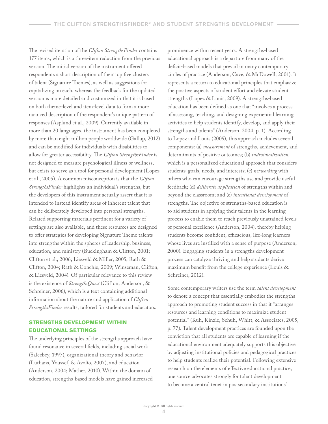The revised iteration of the *Clifton StrengthsFinder* contains 177 items, which is a three-item reduction from the previous version. The initial version of the instrument offered respondents a short description of their top five clusters of talent (Signature Themes), as well as suggestions for capitalizing on each, whereas the feedback for the updated version is more detailed and customized in that it is based on both theme-level and item-level data to form a more nuanced description of the respondent's unique pattern of responses (Asplund et al., 2009). Currently available in more than 20 languages, the instrument has been completed by more than eight million people worldwide (Gallup, 2012) and can be modified for individuals with disabilities to allow for greater accessibility. The *Clifton StrengthsFinder* is not designed to measure psychological illness or wellness, but exists to serve as a tool for personal development (Lopez et al., 2005). A common misconception is that the *Clifton StrengthsFinder* highlights an individual's strengths, but the developers of this instrument actually assert that it is intended to instead identify areas of inherent talent that can be deliberately developed into personal strengths. Related supporting materials pertinent for a variety of settings are also available, and these resources are designed to offer strategies for developing Signature Theme talents into strengths within the spheres of leadership, business, education, and ministry (Buckingham & Clifton, 2001; Clifton et al., 2006; Liesveld & Miller, 2005; Rath & Clifton, 2004; Rath & Conchie, 2009; Winseman, Clifton, & Liesveld, 2004). Of particular relevance to this review is the existence of *StrengthsQuest* (Clifton, Anderson, & Schreiner, 2006), which is a text containing additional information about the nature and application of *Clifton StrengthsFinder* results, tailored for students and educators.

### **STRENGTHS DEVELOPMENT WITHIN EDUCATIONAL SETTINGS**

The underlying principles of the strengths approach have found resonance in several fields, including social work (Saleebey, 1997), organizational theory and behavior (Luthans, Youssef, & Avolio, 2007), and education (Anderson, 2004; Mather, 2010). Within the domain of education, strengths-based models have gained increased prominence within recent years. A strengths-based educational approach is a departure from many of the deficit-based models that prevail in many contemporary circles of practice (Anderson, Cave, & McDowell, 2001). It represents a return to educational principles that emphasize the positive aspects of student effort and elevate student strengths (Lopez & Louis, 2009). A strengths-based education has been defined as one that "involves a process of assessing, teaching, and designing experiential learning activities to help students identify, develop, and apply their strengths and talents" (Anderson, 2004, p. 1). According to Lopez and Louis (2009), this approach includes several components: (a) *measurement* of strengths, achievement, and determinants of positive outcomes; (b) *individualization,*  which is a personalized educational approach that considers students' goals, needs, and interests; (c) *networking* with others who can encourage strengths use and provide useful feedback; (d) *deliberate application* of strengths within and beyond the classroom; and (e) *intentional development* of strengths. The objective of strengths-based education is to aid students in applying their talents in the learning process to enable them to reach previously unattained levels of personal excellence (Anderson, 2004), thereby helping students become confident, efficacious, life-long learners whose lives are instilled with a sense of purpose (Anderson, 2000). Engaging students in a strengths development process can catalyze thriving and help students derive maximum benefit from the college experience (Louis & Schreiner, 2012).

Some contemporary writers use the term *talent development*  to denote a concept that essentially embodies the strengths approach to promoting student success in that it "arranges resources and learning conditions to maximize student potential" (Kuh, Kinzie, Schuh, Whitt, & Associates, 2005, p. 77). Talent development practices are founded upon the conviction that all students are capable of learning if the educational environment adequately supports this objective by adjusting institutional policies and pedagogical practices to help students realize their potential. Following extensive research on the elements of effective educational practice, one source advocates strongly for talent development to become a central tenet in postsecondary institutions'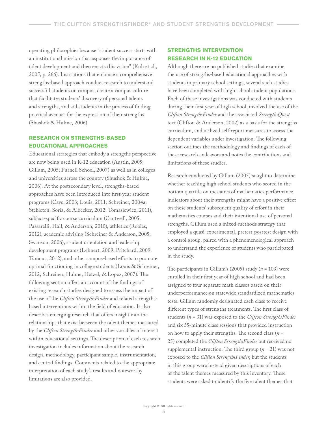operating philosophies because "student success starts with an institutional mission that espouses the importance of talent development and then enacts this vision" (Kuh et al., 2005, p. 266). Institutions that embrace a comprehensive strengths-based approach conduct research to understand successful students on campus, create a campus culture that facilitates students' discovery of personal talents and strengths, and aid students in the process of finding practical avenues for the expression of their strengths (Shushok & Hulme, 2006).

#### **RESEARCH ON STRENGTHS-BASED EDUCATIONAL APPROACHES**

Educational strategies that embody a strengths perspective are now being used in K-12 education (Austin, 2005; Gillum, 2005; Purnell School, 2007) as well as in colleges and universities across the country (Shushok & Hulme, 2006). At the postsecondary level, strengths-based approaches have been introduced into first-year student programs (Cave, 2003; Louis, 2011; Schreiner, 2004a; Stebleton, Soria, & Albecker, 2012; Tomasiewicz, 2011), subject-specific course curriculum (Cantwell, 2005; Passarelli, Hall, & Anderson, 2010), athletics (Robles, 2012), academic advising (Schreiner & Anderson, 2005; Swanson, 2006), student orientation and leadership development programs (Lehnert, 2009; Pritchard, 2009; Tanious, 2012), and other campus-based efforts to promote optimal functioning in college students (Louis & Schreiner, 2012; Schreiner, Hulme, Hetzel, & Lopez, 2007). The following section offers an account of the findings of existing research studies designed to assess the impact of the use of the *Clifton StrengthsFinder* and related strengthsbased interventions within the field of education. It also describes emerging research that offers insight into the relationships that exist between the talent themes measured by the *Clifton StrengthsFinder* and other variables of interest within educational settings. The description of each research investigation includes information about the research design, methodology, participant sample, instrumentation, and central findings. Comments related to the appropriate interpretation of each study's results and noteworthy limitations are also provided.

### **STRENGTHS INTERVENTION RESEARCH IN K-12 EDUCATION**

Although there are no published studies that examine the use of strengths-based educational approaches with students in primary school settings, several such studies have been completed with high school student populations. Each of these investigations was conducted with students during their first year of high school, involved the use of the *Clifton StrengthsFinder* and the associated *StrengthsQuest* text (Clifton & Anderson, 2002) as a basis for the strengths curriculum, and utilized self-report measures to assess the dependent variables under investigation. The following section outlines the methodology and findings of each of these research endeavors and notes the contributions and limitations of these studies.

Research conducted by Gillum (2005) sought to determine whether teaching high school students who scored in the bottom quartile on measures of mathematics performance indicators about their strengths might have a positive effect on these students' subsequent quality of effort in their mathematics courses and their intentional use of personal strengths. Gillum used a mixed-methods strategy that employed a quasi-experimental, pretest-posttest design with a control group, paired with a phenomenological approach to understand the experience of students who participated in the study.

The participants in Gillum's (2005) study (*n* = 103) were enrolled in their first year of high school and had been assigned to four separate math classes based on their underperformance on statewide standardized mathematics tests. Gillum randomly designated each class to receive different types of strengths treatments. The first class of students (*n* = 31) was exposed to the *Clifton StrengthsFinder* and six 55-minute class sessions that provided instruction on how to apply their strengths. The second class  $(n =$ 25) completed the *Clifton StrengthsFinder* but received no supplemental instruction. The third group (*n* = 21) was not exposed to the *Clifton StrengthsFinder*, but the students in this group were instead given descriptions of each of the talent themes measured by this inventory. These students were asked to identify the five talent themes that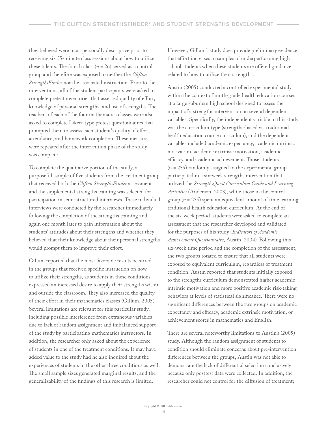they believed were most personally descriptive prior to receiving six 55-minute class sessions about how to utilize these talents. The fourth class  $(n = 26)$  served as a control group and therefore was exposed to neither the *Clifton StrengthsFinder* nor the associated instruction. Prior to the interventions, all of the student participants were asked to complete pretest inventories that assessed quality of effort, knowledge of personal strengths, and use of strengths. The teachers of each of the four mathematics classes were also asked to complete Likert-type pretest questionnaires that prompted them to assess each student's quality of effort, attendance, and homework completion. These measures were repeated after the intervention phase of the study was complete.

To complete the qualitative portion of the study, a purposeful sample of five students from the treatment group that received both the *Clifton StrengthsFinder* assessment and the supplemental strengths training was selected for participation in semi-structured interviews. These individual interviews were conducted by the researcher immediately following the completion of the strengths training and again one month later to gain information about the students' attitudes about their strengths and whether they believed that their knowledge about their personal strengths would prompt them to improve their effort.

Gillum reported that the most favorable results occurred in the groups that received specific instruction on how to utilize their strengths, as students in these conditions expressed an increased desire to apply their strengths within and outside the classroom. They also increased the quality of their effort in their mathematics classes (Gillum, 2005). Several limitations are relevant for this particular study, including possible interference from extraneous variables due to lack of random assignment and imbalanced support of the study by participating mathematics instructors. In addition, the researcher only asked about the experience of students in one of the treatment conditions. It may have added value to the study had he also inquired about the experiences of students in the other three conditions as well. The small sample sizes generated marginal results, and the generalizability of the findings of this research is limited.

However, Gillum's study does provide preliminary evidence that effort increases in samples of underperforming high school students when these students are offered guidance related to how to utilize their strengths.

Austin (2005) conducted a controlled experimental study within the context of ninth-grade health education courses at a large suburban high school designed to assess the impact of a strengths intervention on several dependent variables. Specifically, the independent variable in this study was the curriculum type (strengths-based vs. traditional health education course curriculum), and the dependent variables included academic expectancy, academic intrinsic motivation, academic extrinsic motivation, academic efficacy, and academic achievement. Those students (n = 255) randomly assigned to the experimental group participated in a six-week strengths intervention that utilized the *StrengthsQuest Curriculum Guide and Learning Activities* (Anderson, 2003), while those in the control group (*n* = 255) spent an equivalent amount of time learning traditional health education curriculum. At the end of the six-week period, students were asked to complete an assessment that the researcher developed and validated for the purposes of his study (*Indicators of Academic Achievement Questionnaire*, Austin, 2004). Following this six-week time period and the completion of the assessment, the two groups rotated to ensure that all students were exposed to equivalent curriculum, regardless of treatment condition. Austin reported that students initially exposed to the strengths curriculum demonstrated higher academic intrinsic motivation and more positive academic risk-taking behaviors at levels of statistical significance. There were no significant differences between the two groups on academic expectancy and efficacy, academic extrinsic motivation, or achievement scores in mathematics and English.

There are several noteworthy limitations to Austin's (2005) study. Although the random assignment of students to condition should eliminate concerns about pre-intervention differences between the groups, Austin was not able to demonstrate the lack of differential selection conclusively because only posttest data were collected. In addition, the researcher could not control for the diffusion of treatment;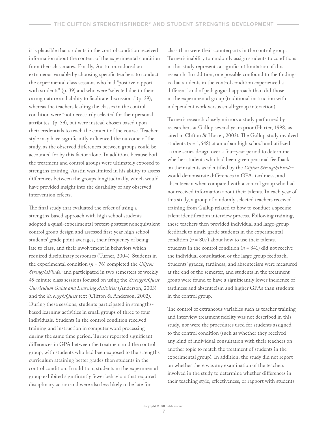it is plausible that students in the control condition received information about the content of the experimental condition from their classmates. Finally, Austin introduced an extraneous variable by choosing specific teachers to conduct the experimental class sessions who had "positive rapport with students" (p. 39) and who were "selected due to their caring nature and ability to facilitate discussions" (p. 39), whereas the teachers leading the classes in the control condition were "not necessarily selected for their personal attributes" (p. 39), but were instead chosen based upon their credentials to teach the content of the course. Teacher style may have significantly influenced the outcome of the study, as the observed differences between groups could be accounted for by this factor alone. In addition, because both the treatment and control groups were ultimately exposed to strengths training, Austin was limited in his ability to assess differences between the groups longitudinally, which would have provided insight into the durability of any observed intervention effects.

The final study that evaluated the effect of using a strengths-based approach with high school students adopted a quasi-experimental pretest-posttest nonequivalent control group design and assessed first-year high school students' grade point averages, their frequency of being late to class, and their involvement in behaviors which required disciplinary responses (Turner, 2004). Students in the experimental condition (*n* = 76) completed the *Clifton StrengthsFinder* and participated in two semesters of weekly 45-minute class sessions focused on using the *StrengthsQuest Curriculum Guide and Learning Activities* (Anderson, 2003) and the *StrengthsQuest* text (Clifton & Anderson, 2002). During these sessions, students participated in strengthsbased learning activities in small groups of three to four individuals. Students in the control condition received training and instruction in computer word processing during the same time period. Turner reported significant differences in GPA between the treatment and the control group, with students who had been exposed to the strengths curriculum attaining better grades than students in the control condition. In addition, students in the experimental group exhibited significantly fewer behaviors that required disciplinary action and were also less likely to be late for

class than were their counterparts in the control group. Turner's inability to randomly assign students to conditions in this study represents a significant limitation of this research. In addition, one possible confound to the findings is that students in the control condition experienced a different kind of pedagogical approach than did those in the experimental group (traditional instruction with independent work versus small-group interaction).

Turner's research closely mirrors a study performed by researchers at Gallup several years prior (Harter, 1998, as cited in Clifton & Harter, 2003). The Gallup study involved students ( $n = 1,648$ ) at an urban high school and utilized a time series design over a four-year period to determine whether students who had been given personal feedback on their talents as identified by the *Clifton StrengthsFinder* would demonstrate differences in GPA, tardiness, and absenteeism when compared with a control group who had not received information about their talents. In each year of this study, a group of randomly selected teachers received training from Gallup related to how to conduct a specific talent identification interview process. Following training, these teachers then provided individual and large-group feedback to ninth-grade students in the experimental condition ( $n = 807$ ) about how to use their talents. Students in the control condition (*n* = 841) did not receive the individual consultation or the large group feedback. Students' grades, tardiness, and absenteeism were measured at the end of the semester, and students in the treatment group were found to have a significantly lower incidence of tardiness and absenteeism and higher GPAs than students in the control group.

The control of extraneous variables such as teacher training and interview treatment fidelity was not described in this study, nor were the procedures used for students assigned to the control condition (such as whether they received any kind of individual consultation with their teachers on another topic to match the treatment of students in the experimental group). In addition, the study did not report on whether there was any examination of the teachers involved in the study to determine whether differences in their teaching style, effectiveness, or rapport with students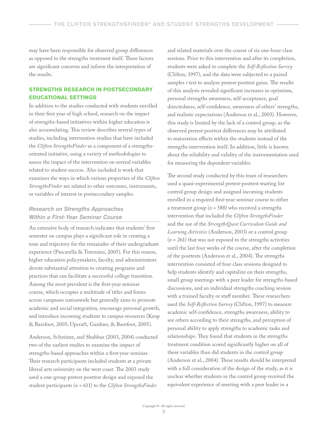may have been responsible for observed group differences as opposed to the strengths treatment itself. These factors are significant concerns and inform the interpretation of the results.

#### **STRENGTHS RESEARCH IN POSTSECONDARY EDUCATIONAL SETTINGS**

In addition to the studies conducted with students enrolled in their first year of high school, research on the impact of strengths-based initiatives within higher education is also accumulating. This review describes several types of studies, including intervention studies that have included the *Clifton StrengthsFinder* as a component of a strengthsoriented initiative, using a variety of methodologies to assess the impact of the intervention on several variables related to student success. Also included is work that examines the ways in which various properties of the *Clifton StrengthsFinder* are related to other outcomes, instruments, or variables of interest in postsecondary samples.

### *Research on Strengths Approaches Within a First-Year Seminar Course*

An extensive body of research indicates that students' first semester on campus plays a significant role in creating a tone and trajectory for the remainder of their undergraduate experience (Pascarella & Terenzini, 2005). For this reason, higher education policymakers, faculty, and administrators devote substantial attention to creating programs and practices that can facilitate a successful college transition. Among the most prevalent is the first-year seminar course, which occupies a multitude of titles and forms across campuses nationwide but generally aims to promote academic and social integration, encourage personal growth, and introduce incoming students to campus resources (Keup & Barefoot, 2005; Upcraft, Gardner, & Barefoot, 2005).

Anderson, Schreiner, and Shahbaz (2003, 2004) conducted two of the earliest studies to examine the impact of strengths-based approaches within a first-year seminar. Their research participants included students at a private liberal arts university on the west coast. The 2003 study used a one-group pretest-posttest design and exposed the student participants (*n* = 611) to the *Clifton StrengthsFinder*

and related materials over the course of six one-hour class sessions. Prior to this intervention and after its completion, students were asked to complete the *Self-Reflection Survey* (Clifton, 1997), and the data were subjected to a paired samples *t* test to analyze pretest-posttest gains. The results of this analysis revealed significant increases in optimism, personal strengths awareness, self-acceptance, goal directedness, self-confidence, awareness of others' strengths, and realistic expectations (Anderson et al., 2003). However, this study is limited by the lack of a control group, as the observed pretest-posttest differences may be attributed to maturation effects within the students instead of the strengths intervention itself. In addition, little is known about the reliability and validity of the instrumentation used for measuring the dependent variables.

The second study conducted by this team of researchers used a quasi-experimental pretest-posttest waiting list control group design and assigned incoming students enrolled in a required first-year seminar course to either a treatment group (*n* = 588) who received a strengths intervention that included the *Clifton StrengthsFinder* and the use of the *StrengthsQuest Curriculum Guide and Learning Activities* (Anderson, 2003) or a control group (*n* = 261) that was not exposed to the strengths activities until the last four weeks of the course, after the completion of the posttests (Anderson et al., 2004). The strengths intervention consisted of four class sessions designed to help students identify and capitalize on their strengths, small group meetings with a peer leader for strengths-based discussions, and an individual strengths coaching session with a trained faculty or staff member. These researchers used the *Self-Reflection Survey* (Clifton, 1997) to measure academic self-confidence, strengths awareness, ability to see others according to their strengths, and perception of personal ability to apply strengths to academic tasks and relationships. They found that students in the strengths treatment condition scored significantly higher on all of these variables than did students in the control group (Anderson et al., 2004). These results should be interpreted with a full consideration of the design of the study, as it is unclear whether students in the control group received the equivalent experience of meeting with a peer leader in a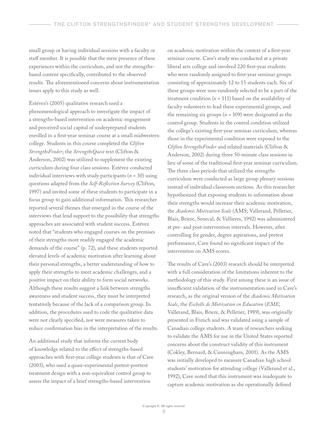small group or having individual sessions with a faculty or staff member. It is possible that the mere presence of these experiences within the curriculum, and not the strengthsbased content specifically, contributed to the observed results. The aforementioned concerns about instrumentation issues apply to this study as well.

Estévez's (2005) qualitative research used a phenomenological approach to investigate the impact of a strengths-based intervention on academic engagement and perceived social capital of underprepared students enrolled in a first-year seminar course at a small midwestern college. Students in this course completed the *Clifton StrengthsFinder*; the *StrengthsQuest* text (Clifton & Anderson, 2002) was utilized to supplement the existing curriculum during four class sessions. Estévez conducted individual interviews with study participants (*n* = 30) using questions adapted from the *Self-Reflection Survey* (Clifton, 1997) and invited some of these students to participate in a focus group to gain additional information. This researcher reported several themes that emerged in the course of the interviews that lend support to the possibility that strengths approaches are associated with student success. Estévez noted that "students who engaged courses on the premises of their strengths more readily engaged the academic demands of the course" (p. 72), and these students reported elevated levels of academic motivation after learning about their personal strengths, a better understanding of how to apply their strengths to meet academic challenges, and a positive impact on their ability to form social networks. Although these results suggest a link between strengths awareness and student success, they must be interpreted tentatively because of the lack of a comparison group. In addition, the procedures used to code the qualitative data were not clearly specified, nor were measures taken to reduce confirmation bias in the interpretation of the results.

An additional study that informs the current body of knowledge related to the effect of strengths-based approaches with first-year college students is that of Cave (2003), who used a quasi-experimental pretest-posttest treatment design with a non-equivalent control group to assess the impact of a brief strengths-based intervention

on academic motivation within the context of a first-year seminar course. Cave's study was conducted at a private liberal arts college and involved 220 first-year students who were randomly assigned to first-year seminar groups consisting of approximately 12 to 15 students each. Six of these groups were non-randomly selected to be a part of the treatment condition  $(n = 111)$  based on the availability of faculty volunteers to lead these experimental groups, and the remaining six groups (*n* = 109) were designated as the control group. Students in the control condition utilized the college's existing first-year seminar curriculum, whereas those in the experimental condition were exposed to the *Clifton StrengthsFinder* and related materials (Clifton & Anderson, 2002) during three 50-minute class sessions in lieu of some of the traditional first-year seminar curriculum. The three class periods that utilized the strengths curriculum were conducted as large group plenary sessions instead of individual classroom sections. As this researcher hypothesized that exposing students to information about their strengths would increase their academic motivation, the *Academic Motivation Scale* (AMS; Vallerand, Pelletier, Blais, Briere, Senecal, & Vallieres, 1992) was administered at pre- and post-intervention intervals. However, after controlling for gender, degree aspirations, and pretest performance, Cave found no significant impact of the intervention on AMS scores.

The results of Cave's (2003) research should be interpreted with a full consideration of the limitations inherent to the methodology of this study. First among these is an issue of insufficient validation of the instrumentation used in Cave's research, as the original version of the *Academic Motivation Scale*, the *Eschelle de Motivation en Education* (*EME*; Vallerand, Blais, Briere, & Pelletier, 1989), was originally presented in French and was validated using a sample of Canadian college students. A team of researchers seeking to validate the AMS for use in the United States reported concerns about the construct validity of this instrument (Cokley, Bernard, & Cunningham, 2001). As the AMS was initially developed to measure Canadian high school students' motivation for attending college (Vallerand et al., 1992), Cave noted that this instrument was inadequate to capture academic motivation as she operationally defined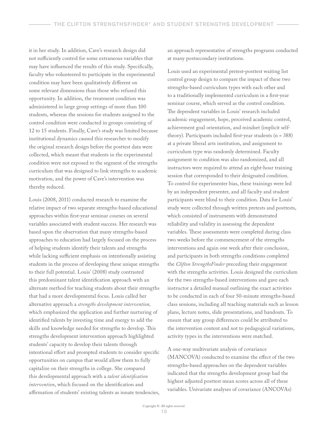it in her study. In addition, Cave's research design did not sufficiently control for some extraneous variables that may have influenced the results of this study. Specifically, faculty who volunteered to participate in the experimental condition may have been qualitatively different on some relevant dimensions than those who refused this opportunity. In addition, the treatment condition was administered in large group settings of more than 100 students, whereas the sessions for students assigned to the control condition were conducted in groups consisting of 12 to 15 students. Finally, Cave's study was limited because institutional dynamics caused this researcher to modify the original research design before the posttest data were collected, which meant that students in the experimental condition were not exposed to the segment of the strengths curriculum that was designed to link strengths to academic motivation, and the power of Cave's intervention was thereby reduced.

Louis (2008, 2011) conducted research to examine the relative impact of two separate strengths-based educational approaches within first-year seminar courses on several variables associated with student success. Her research was based upon the observation that many strengths-based approaches to education had largely focused on the process of helping students identify their talents and strengths while lacking sufficient emphasis on intentionally assisting students in the process of developing these unique strengths to their full potential. Louis' (2008) study contrasted this predominant talent identification approach with an alternate method for teaching students about their strengths that had a more developmental focus. Louis called her alternative approach a *strengths development intervention,*  which emphasized the application and further nurturing of identified talents by investing time and energy to add the skills and knowledge needed for strengths to develop. This strengths development intervention approach highlighted students' capacity to develop their talents through intentional effort and prompted students to consider specific opportunities on campus that would allow them to fully capitalize on their strengths in college. She compared this developmental approach with a *talent identification intervention*, which focused on the identification and affirmation of students' existing talents as innate tendencies,

an approach representative of strengths programs conducted at many postsecondary institutions.

Louis used an experimental pretest-posttest waiting list control group design to compare the impact of these two strengths-based curriculum types with each other and to a traditionally implemented curriculum in a first-year seminar course, which served as the control condition. The dependent variables in Louis' research included academic engagement, hope, perceived academic control, achievement goal orientation, and mindset (implicit selftheory). Participants included first-year students (n = 388) at a private liberal arts institution, and assignment to curriculum type was randomly determined. Faculty assignment to condition was also randomized, and all instructors were required to attend an eight-hour training session that corresponded to their designated condition. To control for experimenter bias, these trainings were led by an independent presenter, and all faculty and student participants were blind to their condition. Data for Louis' study were collected through written pretests and posttests, which consisted of instruments with demonstrated reliability and validity in assessing the dependent variables. These assessments were completed during class two weeks before the commencement of the strengths interventions and again one week after their conclusion, and participants in both strengths conditions completed the *Clifton StrengthsFinder* preceding their engagement with the strengths activities. Louis designed the curriculum for the two strengths-based interventions and gave each instructor a detailed manual outlining the exact activities to be conducted in each of four 50-minute strengths-based class sessions, including all teaching materials such as lesson plans, lecture notes, slide presentations, and handouts. To ensure that any group differences could be attributed to the intervention content and not to pedagogical variations, activity types in the interventions were matched.

A one-way multivariate analysis of covariance (MANCOVA) conducted to examine the effect of the two strengths-based approaches on the dependent variables indicated that the strengths development group had the highest adjusted posttest mean scores across all of these variables. Univariate analyses of covariance (ANCOVAs)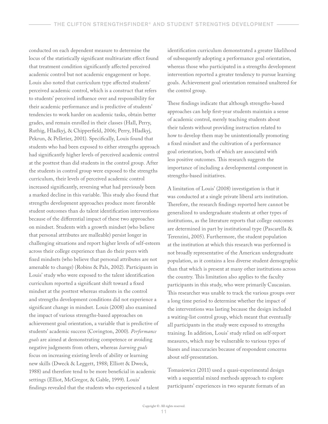conducted on each dependent measure to determine the locus of the statistically significant multivariate effect found that treatment condition significantly affected perceived academic control but not academic engagement or hope. Louis also noted that curriculum type affected students' perceived academic control, which is a construct that refers to students' perceived influence over and responsibility for their academic performance and is predictive of students' tendencies to work harder on academic tasks, obtain better grades, and remain enrolled in their classes (Hall, Perry, Ruthig, Hladkyj, & Chipperfield, 2006; Perry, Hladkyj, Pekrun, & Pelletier, 2001). Specifically, Louis found that students who had been exposed to either strengths approach had significantly higher levels of perceived academic control at the posttest than did students in the control group. After the students in control group were exposed to the strengths curriculum, their levels of perceived academic control increased significantly, reversing what had previously been a marked decline in this variable. This study also found that strengths development approaches produce more favorable student outcomes than do talent identification interventions because of the differential impact of these two approaches on mindset. Students with a growth mindset (who believe that personal attributes are malleable) persist longer in challenging situations and report higher levels of self-esteem across their college experience than do their peers with fixed mindsets (who believe that personal attributes are not amenable to change) (Robins & Pals, 2002). Participants in Louis' study who were exposed to the talent identification curriculum reported a significant shift toward a fixed mindset at the posttest whereas students in the control and strengths development conditions did not experience a significant change in mindset. Louis (2008) also examined the impact of various strengths-based approaches on achievement goal orientation, a variable that is predictive of students' academic success (Covington, 2000). *Performance goals* are aimed at demonstrating competence or avoiding negative judgments from others, whereas *learning goals* focus on increasing existing levels of ability or learning new skills (Dweck & Leggett, 1988; Elliott & Dweck, 1988) and therefore tend to be more beneficial in academic settings (Elliot, McGregor, & Gable, 1999). Louis' findings revealed that the students who experienced a talent

identification curriculum demonstrated a greater likelihood of subsequently adopting a performance goal orientation, whereas those who participated in a strengths development intervention reported a greater tendency to pursue learning goals. Achievement goal orientation remained unaltered for the control group.

These findings indicate that although strengths-based approaches can help first-year students maintain a sense of academic control, merely teaching students about their talents without providing instruction related to how to develop them may be unintentionally promoting a fixed mindset and the cultivation of a performance goal orientation, both of which are associated with less positive outcomes. This research suggests the importance of including a developmental component in strengths-based initiatives.

A limitation of Louis' (2008) investigation is that it was conducted at a single private liberal arts institution. Therefore, the research findings reported here cannot be generalized to undergraduate students at other types of institutions, as the literature reports that college outcomes are determined in part by institutional type (Pascarella & Terenzini, 2005). Furthermore, the student population at the institution at which this research was performed is not broadly representative of the American undergraduate population, as it contains a less diverse student demographic than that which is present at many other institutions across the country. This limitation also applies to the faculty participants in this study, who were primarily Caucasian. This researcher was unable to track the various groups over a long time period to determine whether the impact of the interventions was lasting because the design included a waiting-list control group, which meant that eventually all participants in the study were exposed to strengths training. In addition, Louis' study relied on self-report measures, which may be vulnerable to various types of biases and inaccuracies because of respondent concerns about self-presentation.

Tomasiewicz (2011) used a quasi-experimental design with a sequential mixed methods approach to explore participants' experiences in two separate formats of an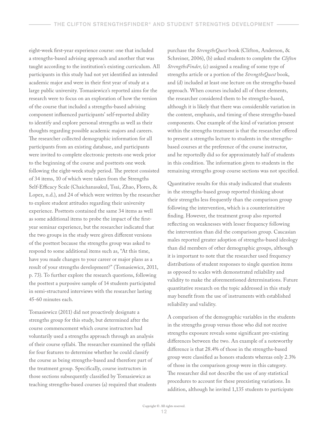eight-week first-year experience course: one that included a strengths-based advising approach and another that was taught according to the institution's existing curriculum. All participants in this study had not yet identified an intended academic major and were in their first year of study at a large public university. Tomasiewicz's reported aims for the research were to focus on an exploration of how the version of the course that included a strengths-based advising component influenced participants' self-reported ability to identify and explore personal strengths as well as their thoughts regarding possible academic majors and careers. The researcher collected demographic information for all participants from an existing database, and participants were invited to complete electronic pretests one week prior to the beginning of the course and posttests one week following the eight-week study period. The pretest consisted of 34 items, 10 of which were taken from the Strengths Self-Efficacy Scale (Chaichanasakul, Tsai, Zhao, Flores, & Lopez, n.d.), and 24 of which were written by the researcher to explore student attitudes regarding their university experience. Posttests contained the same 34 items as well as some additional items to probe the impact of the firstyear seminar experience, but the researcher indicated that the two groups in the study were given different versions of the posttest because the strengths group was asked to respond to some additional items such as, "At this time, have you made changes to your career or major plans as a result of your strengths development?" (Tomasiewicz, 2011, p. 73). To further explore the research questions, following the posttest a purposive sample of 14 students participated in semi-structured interviews with the researcher lasting 45-60 minutes each.

Tomasiewicz (2011) did not proactively designate a strengths group for this study, but determined after the course commencement which course instructors had voluntarily used a strengths approach through an analysis of their course syllabi. The researcher examined the syllabi for four features to determine whether he could classify the course as being strengths-based and therefore part of the treatment group. Specifically, course instructors in those sections subsequently classified by Tomasiewicz as teaching strengths-based courses (a) required that students purchase the *StrengthsQuest* book (Clifton, Anderson, & Schreiner, 2006), (b) asked students to complete the *Clifton StrengthsFinder*, (c) assigned a reading of some type of strengths article or a portion of the *StrengthsQuest* book, and (d) included at least one lecture on the strengths-based approach. When courses included all of these elements, the researcher considered them to be strengths-based, although it is likely that there was considerable variation in the content, emphasis, and timing of these strengths-based components. One example of the kind of variation present within the strengths treatment is that the researcher offered to present a strengths lecture to students in the strengthsbased courses at the preference of the course instructor, and he reportedly did so for approximately half of students in this condition. The information given to students in the remaining strengths group course sections was not specified.

Quantitative results for this study indicated that students in the strengths-based group reported thinking about their strengths less frequently than the comparison group following the intervention, which is a counterintuitive finding. However, the treatment group also reported reflecting on weaknesses with lesser frequency following the intervention than did the comparison group. Caucasian males reported greater adoption of strengths-based ideology than did members of other demographic groups, although it is important to note that the researcher used frequency distributions of student responses to single question items as opposed to scales with demonstrated reliability and validity to make the aforementioned determinations. Future quantitative research on the topic addressed in this study may benefit from the use of instruments with established reliability and validity.

A comparison of the demographic variables in the students in the strengths group versus those who did not receive strengths exposure reveals some significant pre-existing differences between the two. An example of a noteworthy difference is that 28.4% of those in the strengths-based group were classified as honors students whereas only 2.3% of those in the comparison group were in this category. The researcher did not describe the use of any statistical procedures to account for these preexisting variations. In addition, although he invited 1,135 students to participate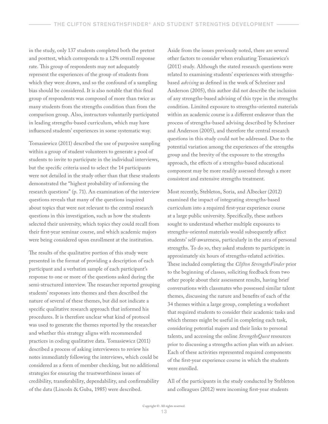in the study, only 137 students completed both the pretest and posttest, which corresponds to a 12% overall response rate. This group of respondents may not adequately represent the experiences of the group of students from which they were drawn, and so the confound of a sampling bias should be considered. It is also notable that this final group of respondents was composed of more than twice as many students from the strengths condition than from the comparison group. Also, instructors voluntarily participated in leading strengths-based curriculum, which may have influenced students' experiences in some systematic way.

Tomasiewicz (2011) described the use of purposive sampling within a group of student volunteers to generate a pool of students to invite to participate in the individual interviews, but the specific criteria used to select the 14 participants were not detailed in the study other than that these students demonstrated the "highest probability of informing the research questions" (p. 71). An examination of the interview questions reveals that many of the questions inquired about topics that were not relevant to the central research questions in this investigation, such as how the students selected their university, which topics they could recall from their first-year seminar course, and which academic majors were being considered upon enrollment at the institution.

The results of the qualitative portion of this study were presented in the format of providing a description of each participant and a verbatim sample of each participant's response to one or more of the questions asked during the semi-structured interview. The researcher reported grouping students' responses into themes and then described the nature of several of these themes, but did not indicate a specific qualitative research approach that informed his procedures. It is therefore unclear what kind of protocol was used to generate the themes reported by the researcher and whether this strategy aligns with recommended practices in coding qualitative data. Tomasiewicz (2011) described a process of asking interviewees to review his notes immediately following the interviews, which could be considered as a form of member checking, but no additional strategies for ensuring the trustworthiness issues of credibility, transferability, dependability, and confirmability of the data (Lincoln & Guba, 1985) were described.

Aside from the issues previously noted, there are several other factors to consider when evaluating Tomasiewicz's (2011) study. Although the stated research questions were related to examining students' experiences with strengthsbased *advising* as defined in the work of Schreiner and Anderson (2005), this author did not describe the inclusion of any strengths-based advising of this type in the strengths condition. Limited exposure to strengths-oriented materials within an academic course is a different endeavor than the process of strengths-based advising described by Schreiner and Anderson (2005), and therefore the central research questions in this study could not be addressed. Due to the potential variation among the experiences of the strengths group and the brevity of the exposure to the strengths approach, the effects of a strengths-based educational component may be more readily assessed through a more consistent and extensive strengths treatment.

Most recently, Stebleton, Soria, and Albecker (2012) examined the impact of integrating strengths-based curriculum into a required first-year experience course at a large public university. Specifically, these authors sought to understand whether multiple exposures to strengths-oriented materials would subsequently affect students' self-awareness, particularly in the area of personal strengths. To do so, they asked students to participate in approximately six hours of strengths-related activities. These included completing the *Clifton StrengthsFinder* prior to the beginning of classes, soliciting feedback from two other people about their assessment results, having brief conversations with classmates who possessed similar talent themes, discussing the nature and benefits of each of the 34 themes within a large group, completing a worksheet that required students to consider their academic tasks and which themes might be useful in completing each task, considering potential majors and their links to personal talents, and accessing the online *StrengthsQuest* resources prior to discussing a strengths action plan with an adviser. Each of these activities represented required components of the first-year experience course in which the students were enrolled.

All of the participants in the study conducted by Stebleton and colleagues (2012) were incoming first-year students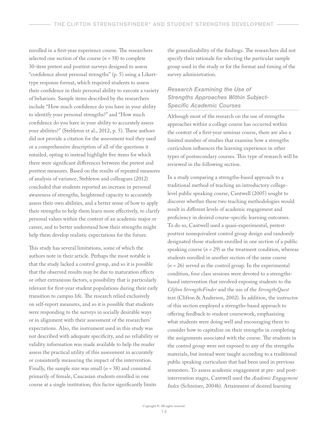enrolled in a first-year experience course. The researchers selected one section of the course  $(n = 58)$  to complete 30-item pretest and posttest surveys designed to assess "confidence about personal strengths" (p. 5) using a Likerttype response format, which required students to assess their confidence in their personal ability to execute a variety of behaviors. Sample items described by the researchers include "How much confidence do you have in your ability to identify your personal strengths?" and "How much confidence do you have in your ability to accurately assess your abilities?" (Stebleton et al., 2012, p. 5). These authors did not provide a citation for the assessment tool they used or a comprehensive description of all of the questions it entailed, opting to instead highlight five items for which there were significant differences between the pretest and posttest measures. Based on the results of repeated measures of analysis of variance, Stebleton and colleagues (2012) concluded that students reported an increase in personal awareness of strengths, heightened capacity to accurately assess their own abilities, and a better sense of how to apply their strengths to help them learn more effectively, to clarify personal values within the context of an academic major or career, and to better understand how their strengths might help them develop realistic expectations for the future.

This study has several limitations, some of which the authors note in their article. Perhaps the most notable is that the study lacked a control group, and so it is possible that the observed results may be due to maturation effects or other extraneous factors, a possibility that is particularly relevant for first-year student populations during their early transition to campus life. The research relied exclusively on self-report measures, and so it is possible that students were responding to the surveys in socially desirable ways or in alignment with their assessment of the researchers' expectations. Also, the instrument used in this study was not described with adequate specificity, and no reliability or validity information was made available to help the reader assess the practical utility of this assessment in accurately or consistently measuring the impact of the intervention. Finally, the sample size was small (*n* = 58) and consisted primarily of female, Caucasian students enrolled in one course at a single institution; this factor significantly limits

the generalizability of the findings. The researchers did not specify their rationale for selecting the particular sample group used in the study or for the format and timing of the survey administration.

### *Research Examining the Use of Strengths Approaches Within Subject-Specific Academic Courses*

Although most of the research on the use of strengths approaches within a college course has occurred within the context of a first-year seminar course, there are also a limited number of studies that examine how a strengths curriculum influences the learning experience in other types of postsecondary courses. This type of research will be reviewed in the following section.

In a study comparing a strengths-based approach to a traditional method of teaching an introductory collegelevel public speaking course, Cantwell (2005) sought to discover whether these two teaching methodologies would result in different levels of academic engagement and proficiency in desired course-specific learning outcomes. To do so, Cantwell used a quasi-experimental, pretestposttest nonequivalent control group design and randomly designated those students enrolled in one section of a public speaking course  $(n = 29)$  as the treatment condition, whereas students enrolled in another section of the same course (*n* = 26) served as the control group. In the experimental condition, four class sessions were devoted to a strengthsbased intervention that involved exposing students to the *Clifton StrengthsFinder* and the use of the *StrengthsQuest* text (Clifton & Anderson, 2002). In addition, the instructor of this section employed a strengths-based approach to offering feedback to student coursework, emphasizing what students were doing well and encouraging them to consider how to capitalize on their strengths in completing the assignments associated with the course. The students in the control group were not exposed to any of the strengths materials, but instead were taught according to a traditional public speaking curriculum that had been used in previous semesters. To assess academic engagement at pre- and postintervention stages, Cantwell used the *Academic Engagement Index* (Schreiner, 2004b). Attainment of desired learning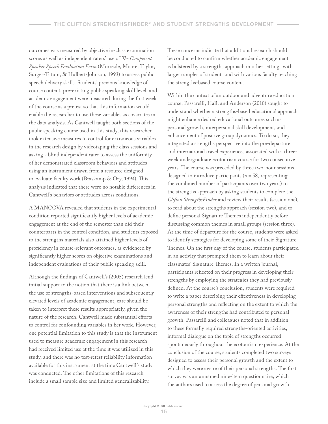outcomes was measured by objective in-class examination scores as well as independent raters' use of *The Competent Speaker Speech Evaluation Form* (Morreale, Moore, Taylor, Surges-Tatum, & Hulbert-Johnson, 1993) to assess public speech delivery skills. Students' previous knowledge of course content, pre-existing public speaking skill level, and academic engagement were measured during the first week of the course as a pretest so that this information would enable the researcher to use these variables as covariates in the data analysis. As Cantwell taught both sections of the public speaking course used in this study, this researcher took extensive measures to control for extraneous variables in the research design by videotaping the class sessions and asking a blind independent rater to assess the uniformity of her demonstrated classroom behaviors and attitudes using an instrument drawn from a resource designed to evaluate faculty work (Braskamp & Ory, 1994). This analysis indicated that there were no notable differences in Cantwell's behaviors or attitudes across conditions.

A MANCOVA revealed that students in the experimental condition reported significantly higher levels of academic engagement at the end of the semester than did their counterparts in the control condition, and students exposed to the strengths materials also attained higher levels of proficiency in course-relevant outcomes, as evidenced by significantly higher scores on objective examinations and independent evaluations of their public speaking skill.

Although the findings of Cantwell's (2005) research lend initial support to the notion that there is a link between the use of strengths-based interventions and subsequently elevated levels of academic engagement, care should be taken to interpret these results appropriately, given the nature of the research. Cantwell made substantial efforts to control for confounding variables in her work. However, one potential limitation to this study is that the instrument used to measure academic engagement in this research had received limited use at the time it was utilized in this study, and there was no test-retest reliability information available for this instrument at the time Cantwell's study was conducted. The other limitations of this research include a small sample size and limited generalizability.

These concerns indicate that additional research should be conducted to confirm whether academic engagement is bolstered by a strengths approach in other settings with larger samples of students and with various faculty teaching the strengths-based course content.

Within the context of an outdoor and adventure education course, Passarelli, Hall, and Anderson (2010) sought to understand whether a strengths-based educational approach might enhance desired educational outcomes such as personal growth, interpersonal skill development, and enhancement of positive group dynamics. To do so, they integrated a strengths perspective into the pre-departure and international travel experiences associated with a threeweek undergraduate ecotourism course for two consecutive years. The course was preceded by three two-hour sessions designed to introduce participants (*n* = 58, representing the combined number of participants over two years) to the strengths approach by asking students to complete the *Clifton StrengthsFinder* and review their results (session one), to read about the strengths approach (session two), and to define personal Signature Themes independently before discussing common themes in small groups (session three). At the time of departure for the course, students were asked to identify strategies for developing some of their Signature Themes. On the first day of the course, students participated in an activity that prompted them to learn about their classmates' Signature Themes. In a written journal, participants reflected on their progress in developing their strengths by employing the strategies they had previously defined. At the course's conclusion, students were required to write a paper describing their effectiveness in developing personal strengths and reflecting on the extent to which the awareness of their strengths had contributed to personal growth. Passarelli and colleagues noted that in addition to these formally required strengths-oriented activities, informal dialogue on the topic of strengths occurred spontaneously throughout the ecotourism experience. At the conclusion of the course, students completed two surveys designed to assess their personal growth and the extent to which they were aware of their personal strengths. The first survey was an unnamed nine-item questionnaire, which the authors used to assess the degree of personal growth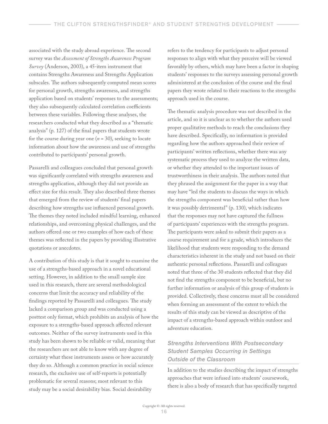associated with the study abroad experience. The second survey was the *Assessment of Strengths Awareness Program Survey* (Anderson, 2003), a 45-item instrument that contains Strengths Awareness and Strengths Application subscales. The authors subsequently computed mean scores for personal growth, strengths awareness, and strengths application based on students' responses to the assessments; they also subsequently calculated correlation coefficients between these variables. Following these analyses, the researchers conducted what they described as a "thematic analysis" (p. 127) of the final papers that students wrote for the course during year one  $(n = 30)$ , seeking to locate information about how the awareness and use of strengths contributed to participants' personal growth.

Passarelli and colleagues concluded that personal growth was significantly correlated with strengths awareness and strengths application, although they did not provide an effect size for this result. They also described three themes that emerged from the review of students' final papers describing how strengths use influenced personal growth. The themes they noted included mindful learning, enhanced relationships, and overcoming physical challenges, and the authors offered one or two examples of how each of these themes was reflected in the papers by providing illustrative quotations or anecdotes.

A contribution of this study is that it sought to examine the use of a strengths-based approach in a novel educational setting. However, in addition to the small sample size used in this research, there are several methodological concerns that limit the accuracy and reliability of the findings reported by Passarelli and colleagues. The study lacked a comparison group and was conducted using a posttest only format, which prohibits an analysis of how the exposure to a strengths-based approach affected relevant outcomes. Neither of the survey instruments used in this study has been shown to be reliable or valid, meaning that the researchers are not able to know with any degree of certainty what these instruments assess or how accurately they do so. Although a common practice in social science research, the exclusive use of self-reports is potentially problematic for several reasons; most relevant to this study may be a social desirability bias. Social desirability

refers to the tendency for participants to adjust personal responses to align with what they perceive will be viewed favorably by others, which may have been a factor in shaping students' responses to the surveys assessing personal growth administered at the conclusion of the course and the final papers they wrote related to their reactions to the strengths approach used in the course.

The thematic analysis procedure was not described in the article, and so it is unclear as to whether the authors used proper qualitative methods to reach the conclusions they have described. Specifically, no information is provided regarding how the authors approached their review of participants' written reflections, whether there was any systematic process they used to analyze the written data, or whether they attended to the important issues of trustworthiness in their analysis. The authors noted that they phrased the assignment for the paper in a way that may have "led the students to discuss the ways in which the strengths component was beneficial rather than how it was possibly detrimental" (p. 130), which indicates that the responses may not have captured the fullness of participants' experiences with the strengths program. The participants were asked to submit their papers as a course requirement and for a grade, which introduces the likelihood that students were responding to the demand characteristics inherent in the study and not based on their authentic personal reflections. Passarelli and colleagues noted that three of the 30 students reflected that they did not find the strengths component to be beneficial, but no further information or analysis of this group of students is provided. Collectively, these concerns must all be considered when forming an assessment of the extent to which the results of this study can be viewed as descriptive of the impact of a strengths-based approach within outdoor and adventure education.

# *Strengths Interventions With Postsecondary Student Samples Occurring in Settings Outside of the Classroom*

In addition to the studies describing the impact of strengths approaches that were infused into students' coursework, there is also a body of research that has specifically targeted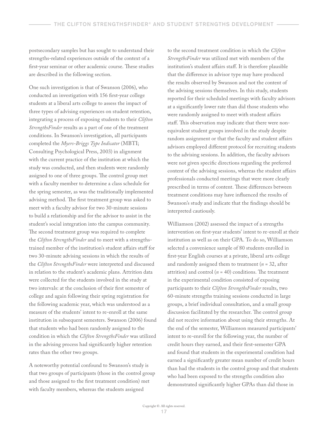postsecondary samples but has sought to understand their strengths-related experiences outside of the context of a first-year seminar or other academic course. These studies are described in the following section.

One such investigation is that of Swanson (2006), who conducted an investigation with 156 first-year college students at a liberal arts college to assess the impact of three types of advising experiences on student retention, integrating a process of exposing students to their *Clifton StrengthsFinder* results as a part of one of the treatment conditions. In Swanson's investigation, all participants completed the *Myers-Briggs Type Indicator* (MBTI; Consulting Psychological Press, 2003) in alignment with the current practice of the institution at which the study was conducted, and then students were randomly assigned to one of three groups. The control group met with a faculty member to determine a class schedule for the spring semester, as was the traditionally implemented advising method. The first treatment group was asked to meet with a faculty advisor for two 30-minute sessions to build a relationship and for the advisor to assist in the student's social integration into the campus community. The second treatment group was required to complete the *Clifton StrengthsFinder* and to meet with a strengthstrained member of the institution's student affairs staff for two 30-minute advising sessions in which the results of the *Clifton StrengthsFinder* were interpreted and discussed in relation to the student's academic plans. Attrition data were collected for the students involved in the study at two intervals: at the conclusion of their first semester of college and again following their spring registration for the following academic year, which was understood as a measure of the students' intent to re-enroll at the same institution in subsequent semesters. Swanson (2006) found that students who had been randomly assigned to the condition in which the *Clifton StrengthsFinder* was utilized in the advising process had significantly higher retention rates than the other two groups.

A noteworthy potential confound to Swanson's study is that two groups of participants (those in the control group and those assigned to the first treatment condition) met with faculty members, whereas the students assigned

to the second treatment condition in which the *Clifton StrengthsFinder* was utilized met with members of the institution's student affairs staff. It is therefore plausible that the difference in advisor type may have produced the results observed by Swanson and not the content of the advising sessions themselves. In this study, students reported for their scheduled meetings with faculty advisors at a significantly lower rate than did those students who were randomly assigned to meet with student affairs staff. This observation may indicate that there were nonequivalent student groups involved in the study despite random assignment or that the faculty and student affairs advisors employed different protocol for recruiting students to the advising sessions. In addition, the faculty advisors were not given specific directions regarding the preferred content of the advising sessions, whereas the student affairs professionals conducted meetings that were more clearly prescribed in terms of content. These differences between treatment conditions may have influenced the results of Swanson's study and indicate that the findings should be interpreted cautiously.

Williamson (2002) assessed the impact of a strengths intervention on first-year students' intent to re-enroll at their institution as well as on their GPA. To do so, Williamson selected a convenience sample of 80 students enrolled in first-year English courses at a private, liberal arts college and randomly assigned them to treatment (*n* = 32, after attrition) and control  $(n = 40)$  conditions. The treatment in the experimental condition consisted of exposing participants to their *Clifton StrengthsFinder* results, two 60-minute strengths training sessions conducted in large groups, a brief individual consultation, and a small group discussion facilitated by the researcher. The control group did not receive information about using their strengths. At the end of the semester, Williamson measured participants' intent to re-enroll for the following year, the number of credit hours they earned, and their first-semester GPA and found that students in the experimental condition had earned a significantly greater mean number of credit hours than had the students in the control group and that students who had been exposed to the strengths condition also demonstrated significantly higher GPAs than did those in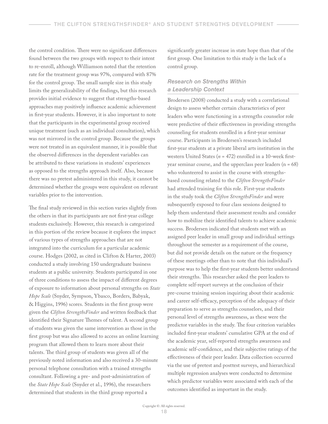the control condition. There were no significant differences found between the two groups with respect to their intent to re-enroll, although Williamson noted that the retention rate for the treatment group was 97%, compared with 87% for the control group. The small sample size in this study limits the generalizability of the findings, but this research provides initial evidence to suggest that strengths-based approaches may positively influence academic achievement in first-year students. However, it is also important to note that the participants in the experimental group received unique treatment (such as an individual consultation), which was not mirrored in the control group. Because the groups were not treated in an equivalent manner, it is possible that the observed differences in the dependent variables can be attributed to these variations in students' experiences as opposed to the strengths approach itself. Also, because there was no pretest administered in this study, it cannot be determined whether the groups were equivalent on relevant variables prior to the intervention.

The final study reviewed in this section varies slightly from the others in that its participants are not first-year college students exclusively. However, this research is categorized in this portion of the review because it explores the impact of various types of strengths approaches that are not integrated into the curriculum for a particular academic course. Hodges (2002, as cited in Clifton & Harter, 2003) conducted a study involving 150 undergraduate business students at a public university. Students participated in one of three conditions to assess the impact of different degrees of exposure to information about personal strengths on *State Hope Scale* (Snyder, Sympson, Ybasco, Borders, Babyak, & Higgins, 1996) scores. Students in the first group were given the *Clifton StrengthsFinder* and written feedback that identified their Signature Themes of talent. A second group of students was given the same intervention as those in the first group but was also allowed to access an online learning program that allowed them to learn more about their talents. The third group of students was given all of the previously noted information and also received a 30-minute personal telephone consultation with a trained strengths consultant. Following a pre- and post-administration of the *State Hope Scale* (Snyder et al., 1996), the researchers determined that students in the third group reported a

significantly greater increase in state hope than that of the first group. One limitation to this study is the lack of a control group.

#### *Research on Strengths Within a Leadership Context*

Brodersen (2008) conducted a study with a correlational design to assess whether certain characteristics of peer leaders who were functioning in a strengths counselor role were predictive of their effectiveness in providing strengths counseling for students enrolled in a first-year seminar course. Participants in Brodersen's research included first-year students at a private liberal arts institution in the western United States (*n* = 472) enrolled in a 10-week firstyear seminar course, and the upperclass peer leaders  $(n = 68)$ who volunteered to assist in the course with strengthsbased counseling related to the *Clifton StrengthsFinder* had attended training for this role. First-year students in the study took the *Clifton StrengthsFinder* and were subsequently exposed to four class sessions designed to help them understand their assessment results and consider how to mobilize their identified talents to achieve academic success. Brodersen indicated that students met with an assigned peer leader in small group and individual settings throughout the semester as a requirement of the course, but did not provide details on the nature or the frequency of these meetings other than to note that this individual's purpose was to help the first-year students better understand their strengths. This researcher asked the peer leaders to complete self-report surveys at the conclusion of their pre-course training session inquiring about their academic and career self-efficacy, perception of the adequacy of their preparation to serve as strengths counselors, and their personal level of strengths awareness, as these were the predictor variables in the study. The four criterion variables included first-year students' cumulative GPA at the end of the academic year, self-reported strengths awareness and academic self-confidence, and their subjective ratings of the effectiveness of their peer leader. Data collection occurred via the use of pretest and posttest surveys, and hierarchical multiple regression analyses were conducted to determine which predictor variables were associated with each of the outcomes identified as important in the study.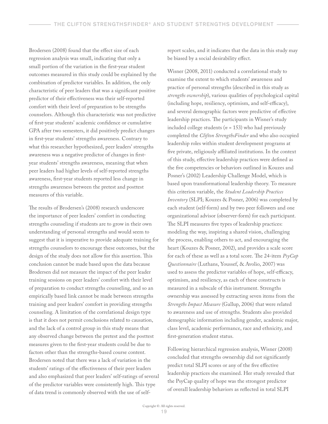Brodersen (2008) found that the effect size of each regression analysis was small, indicating that only a small portion of the variation in the first-year student outcomes measured in this study could be explained by the combination of predictor variables. In addition, the only characteristic of peer leaders that was a significant positive predictor of their effectiveness was their self-reported comfort with their level of preparation to be strengths counselors. Although this characteristic was not predictive of first-year students' academic confidence or cumulative GPA after two semesters, it did positively predict changes in first-year students' strengths awareness. Contrary to what this researcher hypothesized, peer leaders' strengths awareness was a negative predictor of changes in firstyear students' strengths awareness, meaning that when peer leaders had higher levels of self-reported strengths awareness, first-year students reported less change in strengths awareness between the pretest and posttest measures of this variable.

The results of Brodersen's (2008) research underscore the importance of peer leaders' comfort in conducting strengths counseling if students are to grow in their own understanding of personal strengths and would seem to suggest that it is imperative to provide adequate training for strengths counselors to encourage these outcomes, but the design of the study does not allow for this assertion. This conclusion cannot be made based upon the data because Brodersen did not measure the impact of the peer leader training sessions on peer leaders' comfort with their level of preparation to conduct strengths counseling, and so an empirically based link cannot be made between strengths training and peer leaders' comfort in providing strengths counseling. A limitation of the correlational design type is that it does not permit conclusions related to causation, and the lack of a control group in this study means that any observed change between the pretest and the posttest measures given to the first-year students could be due to factors other than the strengths-based course content. Brodersen noted that there was a lack of variation in the students' ratings of the effectiveness of their peer leaders and also emphasized that peer leaders' self-ratings of several of the predictor variables were consistently high. This type of data trend is commonly observed with the use of selfreport scales, and it indicates that the data in this study may be biased by a social desirability effect.

Wisner (2008, 2011) conducted a correlational study to examine the extent to which students' awareness and practice of personal strengths (described in this study as *strengths ownership*), various qualities of psychological capital (including hope, resiliency, optimism, and self-efficacy), and several demographic factors were predictive of effective leadership practices. The participants in Wisner's study included college students (*n* = 153) who had previously completed the *Clifton StrengthsFinder* and who also occupied leadership roles within student development programs at five private, religiously affiliated institutions. In the context of this study, effective leadership practices were defined as the five competencies or behaviors outlined in Kouzes and Posner's (2002) Leadership Challenge Model, which is based upon transformational leadership theory. To measure this criterion variable, the *Student Leadership Practices Inventory* (SLPI; Kouzes & Posner, 2006) was completed by each student (self-form) and by two peer followers and one organizational advisor (observer-form) for each participant. The SLPI measures five types of leadership practices: modeling the way, inspiring a shared vision, challenging the process, enabling others to act, and encouraging the heart (Kouzes & Posner, 2002), and provides a scale score for each of these as well as a total score. The 24-item *PsyCap Questionnaire* (Luthans, Youssef, & Avolio, 2007) was used to assess the predictor variables of hope, self-efficacy, optimism, and resiliency, as each of these constructs is measured in a subscale of this instrument. Strengths ownership was assessed by extracting seven items from the *Strengths Impact Measure* (Gallup, 2006) that were related to awareness and use of strengths. Students also provided demographic information including gender, academic major, class level, academic performance, race and ethnicity, and first-generation student status.

Following hierarchical regression analysis, Wisner (2008) concluded that strengths ownership did not significantly predict total SLPI scores or any of the five effective leadership practices she examined. Her study revealed that the PsyCap quality of hope was the strongest predictor of overall leadership behaviors as reflected in total SLPI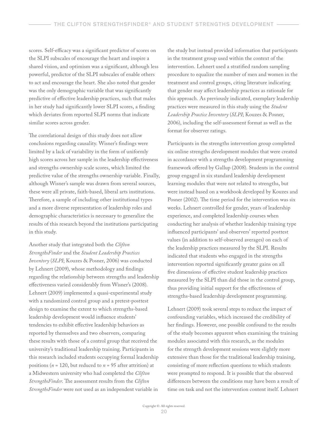scores. Self-efficacy was a significant predictor of scores on the SLPI subscales of encourage the heart and inspire a shared vision, and optimism was a significant, although less powerful, predictor of the SLPI subscales of enable others to act and encourage the heart. She also noted that gender was the only demographic variable that was significantly predictive of effective leadership practices, such that males in her study had significantly lower SLPI scores, a finding which deviates from reported SLPI norms that indicate similar scores across gender.

The correlational design of this study does not allow conclusions regarding causality. Wisner's findings were limited by a lack of variability in the form of uniformly high scores across her sample in the leadership effectiveness and strengths ownership scale scores, which limited the predictive value of the strengths ownership variable. Finally, although Wisner's sample was drawn from several sources, these were all private, faith-based, liberal arts institutions. Therefore, a sample of including other institutional types and a more diverse representation of leadership roles and demographic characteristics is necessary to generalize the results of this research beyond the institutions participating in this study.

Another study that integrated both the *Clifton StrengthsFinder* and the *Student Leadership Practices Inventory* (*SLPI*; Kouzes & Posner, 2006) was conducted by Lehnert (2009), whose methodology and findings regarding the relationship between strengths and leadership effectiveness varied considerably from Wisner's (2008). Lehnert (2009) implemented a quasi-experimental study with a randomized control group and a pretest-posttest design to examine the extent to which strengths-based leadership development would influence students' tendencies to exhibit effective leadership behaviors as reported by themselves and two observers, comparing these results with those of a control group that received the university's traditional leadership training. Participants in this research included students occupying formal leadership positions ( $n = 120$ , but reduced to  $n = 95$  after attrition) at a Midwestern university who had completed the *Clifton StrengthsFinder*. The assessment results from the *Clifton StrengthsFinder* were not used as an independent variable in

the study but instead provided information that participants in the treatment group used within the context of the intervention. Lehnert used a stratified random sampling procedure to equalize the number of men and women in the treatment and control groups, citing literature indicating that gender may affect leadership practices as rationale for this approach. As previously indicated, exemplary leadership practices were measured in this study using the *Student Leadership Practice Inventory* (*SLPI*; Kouzes & Posner, 2006), including the self-assessment format as well as the format for observer ratings.

Participants in the strengths intervention group completed six online strengths development modules that were created in accordance with a strengths development programming framework offered by Gallup (2008). Students in the control group engaged in six standard leadership development learning modules that were not related to strengths, but were instead based on a workbook developed by Kouzes and Posner (2002). The time period for the intervention was six weeks. Lehnert controlled for gender, years of leadership experience, and completed leadership courses when conducting her analysis of whether leadership training type influenced participants' and observers' reported posttest values (in addition to self-observed averages) on each of the leadership practices measured by the SLPI. Results indicated that students who engaged in the strengths intervention reported significantly greater gains on all five dimensions of effective student leadership practices measured by the SLPI than did those in the control group, thus providing initial support for the effectiveness of strengths-based leadership development programming.

Lehnert (2009) took several steps to reduce the impact of confounding variables, which increased the credibility of her findings. However, one possible confound to the results of the study becomes apparent when examining the training modules associated with this research, as the modules for the strength development sessions were slightly more extensive than those for the traditional leadership training, consisting of more reflection questions to which students were prompted to respond. It is possible that the observed differences between the conditions may have been a result of time on task and not the intervention content itself. Lehnert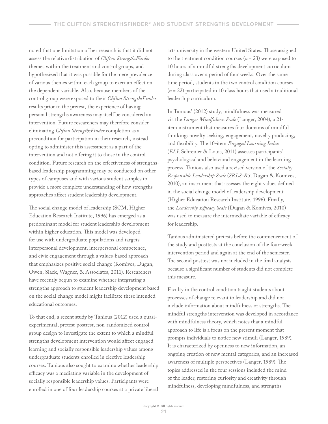noted that one limitation of her research is that it did not assess the relative distribution of *Clifton StrengthsFinder* themes within the treatment and control groups, and hypothesized that it was possible for the mere prevalence of various themes within each group to exert an effect on the dependent variable. Also, because members of the control group were exposed to their *Clifton StrengthsFinder* results prior to the pretest, the experience of having personal strengths awareness may itself be considered an intervention. Future researchers may therefore consider eliminating *Clifton StrengthsFinder* completion as a precondition for participation in their research, instead opting to administer this assessment as a part of the intervention and not offering it to those in the control condition. Future research on the effectiveness of strengthsbased leadership programming may be conducted on other types of campuses and with various student samples to provide a more complete understanding of how strengths approaches affect student leadership development.

The social change model of leadership (SCM, Higher Education Research Institute, 1996) has emerged as a predominant model for student leadership development within higher education. This model was developed for use with undergraduate populations and targets interpersonal development, interpersonal competence, and civic engagement through a values-based approach that emphasizes positive social change (Komives, Dugan, Owen, Slack, Wagner, & Associates, 2011). Researchers have recently begun to examine whether integrating a strengths approach to student leadership development based on the social change model might facilitate these intended educational outcomes.

To that end, a recent study by Tanious (2012) used a quasiexperimental, pretest-posttest, non-randomized control group design to investigate the extent to which a mindful strengths development intervention would affect engaged learning and socially responsible leadership values among undergraduate students enrolled in elective leadership courses. Tanious also sought to examine whether leadership efficacy was a mediating variable in the development of socially responsible leadership values. Participants were enrolled in one of four leadership courses at a private liberal arts university in the western United States. Those assigned to the treatment condition courses  $(n = 23)$  were exposed to 10 hours of a mindful strengths development curriculum during class over a period of four weeks. Over the same time period, students in the two control condition courses (*n* = 22) participated in 10 class hours that used a traditional leadership curriculum.

In Tanious' (2012) study, mindfulness was measured via the *Langer Mindfulness Scale* (Langer, 2004), a 21 item instrument that measures four domains of mindful thinking: novelty seeking, engagement, novelty producing, and flexibility. The 10-item *Engaged Learning Index* (*ELI*; Schreiner & Louis, 2011) assesses participants' psychological and behavioral engagement in the learning process. Tanious also used a revised version of the *Socially Responsible Leadership Scale* (*SRLS-R3*, Dugan & Komives, 2010), an instrument that assesses the eight values defined in the social change model of leadership development (Higher Education Research Institute, 1996). Finally, the *Leadership Efficacy Scale* (Dugan & Komives, 2010) was used to measure the intermediate variable of efficacy for leadership.

Tanious administered pretests before the commencement of the study and posttests at the conclusion of the four-week intervention period and again at the end of the semester. The second posttest was not included in the final analysis because a significant number of students did not complete this measure.

Faculty in the control condition taught students about processes of change relevant to leadership and did not include information about mindfulness or strengths. The mindful strengths intervention was developed in accordance with mindfulness theory, which notes that a mindful approach to life is a focus on the present moment that prompts individuals to notice new stimuli (Langer, 1989). It is characterized by openness to new information, an ongoing creation of new mental categories, and an increased awareness of multiple perspectives (Langer, 1989). The topics addressed in the four sessions included the mind of the leader, restoring curiosity and creativity through mindfulness, developing mindfulness, and strengths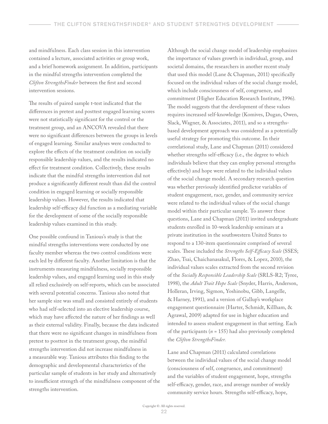and mindfulness. Each class session in this intervention contained a lecture, associated activities or group work, and a brief homework assignment. In addition, participants in the mindful strengths intervention completed the *Clifton StrengthsFinder* between the first and second intervention sessions.

The results of paired sample t-test indicated that the differences in pretest and posttest engaged learning scores were not statistically significant for the control or the treatment group, and an ANCOVA revealed that there were no significant differences between the groups in levels of engaged learning. Similar analyses were conducted to explore the effects of the treatment condition on socially responsible leadership values, and the results indicated no effect for treatment condition. Collectively, these results indicate that the mindful strengths intervention did not produce a significantly different result than did the control condition in engaged learning or socially responsible leadership values. However, the results indicated that leadership self-efficacy did function as a mediating variable for the development of some of the socially responsible leadership values examined in this study.

One possible confound in Tanious's study is that the mindful strengths interventions were conducted by one faculty member whereas the two control conditions were each led by different faculty. Another limitation is that the instruments measuring mindfulness, socially responsible leadership values, and engaged learning used in this study all relied exclusively on self-reports, which can be associated with several potential concerns. Tanious also noted that her sample size was small and consisted entirely of students who had self-selected into an elective leadership course, which may have affected the nature of her findings as well as their external validity. Finally, because the data indicated that there were no significant changes in mindfulness from pretest to posttest in the treatment group, the mindful strengths intervention did not increase mindfulness in a measurable way. Tanious attributes this finding to the demographic and developmental characteristics of the particular sample of students in her study and alternatively to insufficient strength of the mindfulness component of the strengths intervention.

Although the social change model of leadership emphasizes the importance of values growth in individual, group, and societal domains, the researchers in another recent study that used this model (Lane & Chapman, 2011) specifically focused on the individual values of the social change model, which include consciousness of self, congruence, and commitment (Higher Education Research Institute, 1996). The model suggests that the development of these values requires increased self-knowledge (Komives, Dugan, Owen, Slack, Wagner, & Associates, 2011), and so a strengthsbased development approach was considered as a potentially useful strategy for promoting this outcome. In their correlational study, Lane and Chapman (2011) considered whether strengths self-efficacy (i.e., the degree to which individuals believe that they can employ personal strengths effectively) and hope were related to the individual values of the social change model. A secondary research question was whether previously identified predictor variables of student engagement, race, gender, and community service were related to the individual values of the social change model within their particular sample. To answer these questions, Lane and Chapman (2011) invited undergraduate students enrolled in 10-week leadership seminars at a private institution in the southwestern United States to respond to a 130-item questionnaire comprised of several scales. These included the *Strengths Self-Efficacy Scale* (SSES; Zhao, Tsai, Chaichanasakul, Flores, & Lopez, 2010), the individual values scales extracted from the second revision of the *Socially Responsible Leadership Scale* (SRLS-R2; Tyree, 1998), the *Adult Trait Hope Scale* (Snyder, Harris, Anderson, Holleran, Irving, Sigmon, Yoshinobu, Gibb, Langelle, & Harney, 1991), and a version of Gallup's workplace engagement questionnaire (Harter, Schmidt, Killham, & Agrawal, 2009) adapted for use in higher education and intended to assess student engagement in that setting. Each of the participants ( $n = 155$ ) had also previously completed the *Clifton StrengthsFinder.*

Lane and Chapman (2011) calculated correlations between the individual values of the social change model (consciousness of self, congruence, and commitment) and the variables of student engagement, hope, strengths self-efficacy, gender, race, and average number of weekly community service hours. Strengths self-efficacy, hope,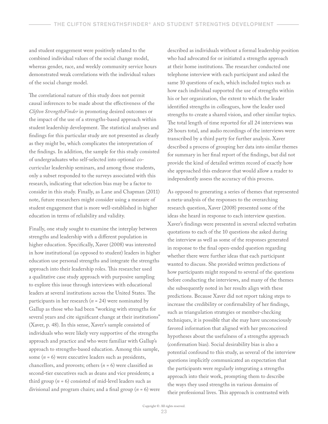and student engagement were positively related to the combined individual values of the social change model, whereas gender, race, and weekly community service hours demonstrated weak correlations with the individual values of the social change model.

The correlational nature of this study does not permit causal inferences to be made about the effectiveness of the *Clifton StrengthsFinder* in promoting desired outcomes or the impact of the use of a strengths-based approach within student leadership development. The statistical analyses and findings for this particular study are not presented as clearly as they might be, which complicates the interpretation of the findings. In addition, the sample for this study consisted of undergraduates who self-selected into optional cocurricular leadership seminars, and among those students, only a subset responded to the surveys associated with this research, indicating that selection bias may be a factor to consider in this study. Finally, as Lane and Chapman (2011) note, future researchers might consider using a measure of student engagement that is more well-established in higher education in terms of reliability and validity.

Finally, one study sought to examine the interplay between strengths and leadership with a different population in higher education. Specifically, Xaver (2008) was interested in how institutional (as opposed to student) leaders in higher education use personal strengths and integrate the strengths approach into their leadership roles. This researcher used a qualitative case study approach with purposive sampling to explore this issue through interviews with educational leaders at several institutions across the United States. The participants in her research  $(n = 24)$  were nominated by Gallup as those who had been "working with strengths for several years and cite significant change at their institutions" (Xaver, p. 48). In this sense, Xaver's sample consisted of individuals who were likely very supportive of the strengths approach and practice and who were familiar with Gallup's approach to strengths-based education. Among this sample, some (*n* = 6) were executive leaders such as presidents, chancellors, and provosts; others  $(n = 6)$  were classified as second-tier executives such as deans and vice presidents; a third group  $(n = 6)$  consisted of mid-level leaders such as divisional and program chairs; and a final group (*n* = 6) were described as individuals without a formal leadership position who had advocated for or initiated a strengths approach at their home institutions. The researcher conducted one telephone interview with each participant and asked the same 10 questions of each, which included topics such as how each individual supported the use of strengths within his or her organization, the extent to which the leader identified strengths in colleagues, how the leader used strengths to create a shared vision, and other similar topics. The total length of time reported for all 24 interviews was 28 hours total, and audio recordings of the interviews were transcribed by a third party for further analysis. Xaver described a process of grouping her data into similar themes for summary in her final report of the findings, but did not provide the kind of detailed written record of exactly how she approached this endeavor that would allow a reader to independently assess the accuracy of this process.

As opposed to generating a series of themes that represented a meta-analysis of the responses to the overarching research question, Xaver (2008) presented some of the ideas she heard in response to each interview question. Xaver's findings were presented in several selected verbatim quotations to each of the 10 questions she asked during the interview as well as some of the responses generated in response to the final open-ended question regarding whether there were further ideas that each participant wanted to discuss. She provided written predictions of how participants might respond to several of the questions before conducting the interviews, and many of the themes she subsequently noted in her results align with these predictions. Because Xaver did not report taking steps to increase the credibility or confirmability of her findings, such as triangulation strategies or member-checking techniques, it is possible that she may have unconsciously favored information that aligned with her preconceived hypotheses about the usefulness of a strengths approach (confirmation bias). Social desirability bias is also a potential confound to this study, as several of the interview questions implicitly communicated an expectation that the participants were regularly integrating a strengths approach into their work, prompting them to describe the ways they used strengths in various domains of their professional lives. This approach is contrasted with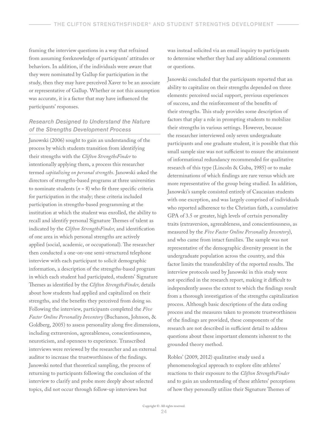framing the interview questions in a way that refrained from assuming foreknowledge of participants' attitudes or behaviors. In addition, if the individuals were aware that they were nominated by Gallup for participation in the study, then they may have perceived Xaver to be an associate or representative of Gallup. Whether or not this assumption was accurate, it is a factor that may have influenced the participants' responses.

#### *Research Designed to Understand the Nature of the Strengths Development Process*

Janowski (2006) sought to gain an understanding of the process by which students transition from identifying their strengths with the *Clifton StrengthsFinder* to intentionally applying them, a process this researcher termed *capitalizing on personal strengths*. Janowski asked the directors of strengths-based programs at three universities to nominate students  $(n = 8)$  who fit three specific criteria for participation in the study; these criteria included participation in strengths-based programming at the institution at which the student was enrolled, the ability to recall and identify personal Signature Themes of talent as indicated by the *Clifton StrengthsFinder*, and identification of one area in which personal strengths are actively applied (social, academic, or occupational). The researcher then conducted a one-on-one semi-structured telephone interview with each participant to solicit demographic information, a description of the strengths-based program in which each student had participated, students' Signature Themes as identified by the *Clifton StrengthsFinder*, details about how students had applied and capitalized on their strengths, and the benefits they perceived from doing so. Following the interview, participants completed the *Five Factor Online Personality Inventory* (Buchanon, Johnson, & Goldberg, 2005) to assess personality along five dimensions, including extraversion, agreeableness, conscientiousness, neuroticism, and openness to experience. Transcribed interviews were reviewed by the researcher and an external auditor to increase the trustworthiness of the findings. Janowski noted that theoretical sampling, the process of returning to participants following the conclusion of the interview to clarify and probe more deeply about selected topics, did not occur through follow-up interviews but

was instead solicited via an email inquiry to participants to determine whether they had any additional comments or questions.

Janowski concluded that the participants reported that an ability to capitalize on their strengths depended on three elements: perceived social support, previous experiences of success, and the reinforcement of the benefits of their strengths. This study provides some description of factors that play a role in prompting students to mobilize their strengths in various settings. However, because the researcher interviewed only seven undergraduate participants and one graduate student, it is possible that this small sample size was not sufficient to ensure the attainment of informational redundancy recommended for qualitative research of this type (Lincoln & Guba, 1985) or to make determinations of which findings are rare versus which are more representative of the group being studied. In addition, Janowski's sample consisted entirely of Caucasian students with one exception, and was largely comprised of individuals who reported adherence to the Christian faith, a cumulative GPA of 3.5 or greater, high levels of certain personality traits (extraversion, agreeableness, and conscientiousness, as measured by the *Five Factor Online Personality Inventory*), and who came from intact families. The sample was not representative of the demographic diversity present in the undergraduate population across the country, and this factor limits the transferability of the reported results. The interview protocols used by Janowski in this study were not specified in the research report, making it difficult to independently assess the extent to which the findings result from a thorough investigation of the strengths capitalization process. Although basic descriptions of the data coding process and the measures taken to promote trustworthiness of the findings are provided, these components of the research are not described in sufficient detail to address questions about these important elements inherent to the grounded theory method.

Robles' (2009, 2012) qualitative study used a phenomenological approach to explore elite athletes' reactions to their exposure to the *Clifton StrengthsFinder* and to gain an understanding of these athletes' perceptions of how they personally utilize their Signature Themes of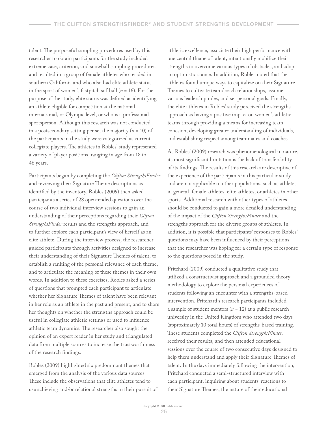talent. The purposeful sampling procedures used by this researcher to obtain participants for the study included extreme case, criterion, and snowball sampling procedures, and resulted in a group of female athletes who resided in southern California and who also had elite athlete status in the sport of women's fastpitch softball (*n* = 16). For the purpose of the study, elite status was defined as identifying an athlete eligible for competition at the national, international, or Olympic level, or who is a professional sportsperson. Although this research was not conducted in a postsecondary setting per se, the majority (*n* = 10) of the participants in the study were categorized as current collegiate players. The athletes in Robles' study represented a variety of player positions, ranging in age from 18 to 46 years.

Participants began by completing the *Clifton StrengthsFinder* and reviewing their Signature Theme descriptions as identified by the inventory. Robles (2009) then asked participants a series of 28 open-ended questions over the course of two individual interview sessions to gain an understanding of their perceptions regarding their *Clifton StrengthsFinder* results and the strengths approach, and to further explore each participant's view of herself as an elite athlete. During the interview process, the researcher guided participants through activities designed to increase their understanding of their Signature Themes of talent, to establish a ranking of the personal relevance of each theme, and to articulate the meaning of these themes in their own words. In addition to these exercises, Robles asked a series of questions that prompted each participant to articulate whether her Signature Themes of talent have been relevant in her role as an athlete in the past and present, and to share her thoughts on whether the strengths approach could be useful in collegiate athletic settings or used to influence athletic team dynamics. The researcher also sought the opinion of an expert reader in her study and triangulated data from multiple sources to increase the trustworthiness of the research findings.

Robles (2009) highlighted six predominant themes that emerged from the analysis of the various data sources. These include the observations that elite athletes tend to use achieving and/or relational strengths in their pursuit of athletic excellence, associate their high performance with one central theme of talent, intentionally mobilize their strengths to overcome various types of obstacles, and adopt an optimistic stance. In addition, Robles noted that the athletes found unique ways to capitalize on their Signature Themes to cultivate team/coach relationships, assume various leadership roles, and set personal goals. Finally, the elite athletes in Robles' study perceived the strengths approach as having a positive impact on women's athletic teams through providing a means for increasing team cohesion, developing greater understanding of individuals, and establishing respect among teammates and coaches.

As Robles' (2009) research was phenomenological in nature, its most significant limitation is the lack of transferability of its findings. The results of this research are descriptive of the experience of the participants in this particular study and are not applicable to other populations, such as athletes in general, female athletes, elite athletes, or athletes in other sports. Additional research with other types of athletes should be conducted to gain a more detailed understanding of the impact of the *Clifton StrengthsFinder* and the strengths approach for the diverse groups of athletes. In addition, it is possible that participants' responses to Robles' questions may have been influenced by their perceptions that the researcher was hoping for a certain type of response to the questions posed in the study.

Pritchard (2009) conducted a qualitative study that utilized a constructivist approach and a grounded theory methodology to explore the personal experiences of students following an encounter with a strengths-based intervention. Pritchard's research participants included a sample of student mentors  $(n = 12)$  at a public research university in the United Kingdom who attended two days (approximately 10 total hours) of strengths-based training. These students completed the *Clifton StrengthsFinder*, received their results, and then attended educational sessions over the course of two consecutive days designed to help them understand and apply their Signature Themes of talent. In the days immediately following the intervention, Pritchard conducted a semi-structured interview with each participant, inquiring about students' reactions to their Signature Themes, the nature of their educational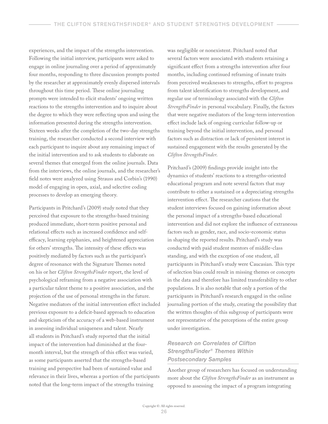experiences, and the impact of the strengths intervention. Following the initial interview, participants were asked to engage in online journaling over a period of approximately four months, responding to three discussion prompts posted by the researcher at approximately evenly dispersed intervals throughout this time period. These online journaling prompts were intended to elicit students' ongoing written reactions to the strengths intervention and to inquire about the degree to which they were reflecting upon and using the information presented during the strengths intervention. Sixteen weeks after the completion of the two-day strengths training, the researcher conducted a second interview with each participant to inquire about any remaining impact of the initial intervention and to ask students to elaborate on several themes that emerged from the online journals. Data from the interviews, the online journals, and the researcher's field notes were analyzed using Strauss and Corbin's (1990) model of engaging in open, axial, and selective coding processes to develop an emerging theory.

Participants in Pritchard's (2009) study noted that they perceived that exposure to the strengths-based training produced immediate, short-term positive personal and relational effects such as increased confidence and selfefficacy, learning epiphanies, and heightened appreciation for others' strengths. The intensity of these effects was positively mediated by factors such as the participant's degree of resonance with the Signature Themes noted on his or her *Clifton StrengthsFinder* report, the level of psychological reframing from a negative association with a particular talent theme to a positive association, and the projection of the use of personal strengths in the future. Negative mediators of the initial intervention effect included previous exposure to a deficit-based approach to education and skepticism of the accuracy of a web-based instrument in assessing individual uniqueness and talent. Nearly all students in Pritchard's study reported that the initial impact of the intervention had diminished at the fourmonth interval, but the strength of this effect was varied, as some participants asserted that the strengths-based training and perspective had been of sustained value and relevance in their lives, whereas a portion of the participants noted that the long-term impact of the strengths training

was negligible or nonexistent. Pritchard noted that several factors were associated with students retaining a significant effect from a strengths intervention after four months, including continued reframing of innate traits from perceived weaknesses to strengths, effort to progress from talent identification to strengths development, and regular use of terminology associated with the *Clifton StrengthsFinder* in personal vocabulary. Finally, the factors that were negative mediators of the long-term intervention effect include lack of ongoing curricular follow-up or training beyond the initial intervention, and personal factors such as distraction or lack of persistent interest in sustained engagement with the results generated by the *Clifton StrengthsFinder*.

Pritchard's (2009) findings provide insight into the dynamics of students' reactions to a strengths-oriented educational program and note several factors that may contribute to either a sustained or a depreciating strengths intervention effect. The researcher cautions that the student interviews focused on gaining information about the personal impact of a strengths-based educational intervention and did not explore the influence of extraneous factors such as gender, race, and socio-economic status in shaping the reported results. Pritchard's study was conducted with paid student mentors of middle-class standing, and with the exception of one student, all participants in Pritchard's study were Caucasian. This type of selection bias could result in missing themes or concepts in the data and therefore has limited transferability to other populations. It is also notable that only a portion of the participants in Pritchard's research engaged in the online journaling portion of the study, creating the possibility that the written thoughts of this subgroup of participants were not representative of the perceptions of the entire group under investigation.

# *Research on Correlates of Clifton StrengthsFinder® Themes Within Postsecondary Samples*

Another group of researchers has focused on understanding more about the *Clifton StrengthsFinder* as an instrument as opposed to assessing the impact of a program integrating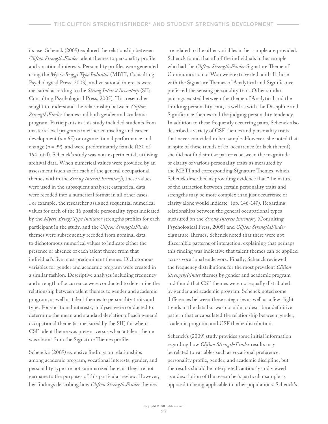its use. Schenck (2009) explored the relationship between *Clifton StrengthsFinder* talent themes to personality profile and vocational interests. Personality profiles were generated using the *Myers-Briggs Type Indicator* (MBTI; Consulting Psychological Press, 2003), and vocational interests were measured according to the *Strong Interest Inventory* (SII; Consulting Psychological Press, 2005). This researcher sought to understand the relationship between *Clifton StrengthsFinder* themes and both gender and academic program. Participants in this study included students from master's-level programs in either counseling and career development (*n* = 65) or organizational performance and change (*n* = 99), and were predominantly female (130 of 164 total). Schenck's study was non-experimental, utilizing archival data. When numerical values were provided by an assessment (such as for each of the general occupational themes within the *Strong Interest Inventory*), these values were used in the subsequent analyses; categorical data were recoded into a numerical format in all other cases. For example, the researcher assigned sequential numerical values for each of the 16 possible personality types indicated by the *Myers-Briggs Type Indicator* strengths profiles for each participant in the study, and the *Clifton StrengthsFinder* themes were subsequently recoded from nominal data to dichotomous numerical values to indicate either the presence or absence of each talent theme from that individual's five most predominant themes. Dichotomous variables for gender and academic program were created in a similar fashion. Descriptive analyses including frequency and strength of occurrence were conducted to determine the relationship between talent themes to gender and academic program, as well as talent themes to personality traits and type. For vocational interests, analyses were conducted to determine the mean and standard deviation of each general occupational theme (as measured by the SII) for when a CSF talent theme was present versus when a talent theme was absent from the Signature Themes profile.

Schenck's (2009) extensive findings on relationships among academic program, vocational interests, gender, and personality type are not summarized here, as they are not germane to the purposes of this particular review. However, her findings describing how *Clifton StrengthsFinder* themes

are related to the other variables in her sample are provided. Schenck found that all of the individuals in her sample who had the *Clifton StrengthsFinder* Signature Theme of Communication or Woo were extraverted, and all those with the Signature Themes of Analytical and Significance preferred the sensing personality trait. Other similar pairings existed between the theme of Analytical and the thinking personality trait, as well as with the Discipline and Significance themes and the judging personality tendency. In addition to these frequently occurring pairs, Schenck also described a variety of CSF themes and personality traits that never coincided in her sample. However, she noted that in spite of these trends of co-occurrence (or lack thereof), she did not find similar patterns between the magnitude or clarity of various personality traits as measured by the MBTI and corresponding Signature Themes, which Schenck described as providing evidence that "the nature of the attraction between certain personality traits and strengths may be more complex than just occurrence or clarity alone would indicate" (pp. 146-147). Regarding relationships between the general occupational types measured on the *Strong Interest Inventory* (Consulting Psychological Press, 2005) and *Clifton StrengthsFinder* Signature Themes, Schenck noted that there were not discernible patterns of interaction, explaining that perhaps this finding was indicative that talent themes can be applied across vocational endeavors. Finally, Schenck reviewed the frequency distributions for the most prevalent *Clifton StrengthsFinder* themes by gender and academic program and found that CSF themes were not equally distributed by gender and academic program. Schenck noted some differences between these categories as well as a few slight trends in the data but was not able to describe a definitive pattern that encapsulated the relationship between gender, academic program, and CSF theme distribution.

Schenck's (2009) study provides some initial information regarding how *Clifton StrengthsFinder* results may be related to variables such as vocational preference, personality profile, gender, and academic discipline, but the results should be interpreted cautiously and viewed as a description of the researcher's particular sample as opposed to being applicable to other populations. Schenck's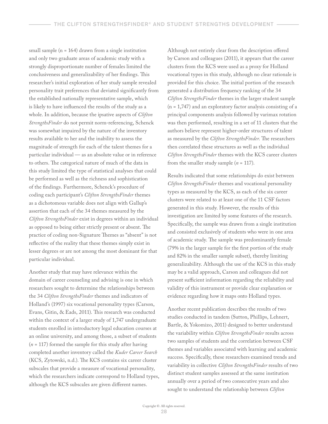small sample (n = 164) drawn from a single institution and only two graduate areas of academic study with a strongly disproportionate number of females limited the conclusiveness and generalizability of her findings. This researcher's initial exploration of her study sample revealed personality trait preferences that deviated significantly from the established nationally representative sample, which is likely to have influenced the results of the study as a whole. In addition, because the ipsative aspects of *Clifton StrengthsFinder* do not permit norm-referencing, Schenck was somewhat impaired by the nature of the inventory results available to her and the inability to assess the magnitude of strength for each of the talent themes for a particular individual — as an absolute value or in reference to others. The categorical nature of much of the data in this study limited the type of statistical analyses that could be performed as well as the richness and sophistication of the findings. Furthermore, Schenck's procedure of coding each participant's *Clifton StrengthsFinder* themes as a dichotomous variable does not align with Gallup's assertion that each of the 34 themes measured by the *Clifton StrengthsFinder* exist in degrees within an individual as opposed to being either strictly present or absent. The practice of coding non-Signature Themes as "absent" is not reflective of the reality that these themes simply exist in lesser degrees or are not among the most dominant for that particular individual.

Another study that may have relevance within the domain of career counseling and advising is one in which researchers sought to determine the relationships between the 34 *Clifton StrengthsFinder* themes and indicators of Holland's (1997) six vocational personality types (Carson, Evans, Gitin, & Eads, 2011). This research was conducted within the context of a larger study of 1,747 undergraduate students enrolled in introductory legal education courses at an online university, and among those, a subset of students (*n* = 117) formed the sample for this study after having completed another inventory called the *Kuder Career Search* (KCS, Zytowski, n.d.). The KCS contains six career cluster subscales that provide a measure of vocational personality, which the researchers indicate correspond to Holland types, although the KCS subscales are given different names.

Although not entirely clear from the description offered by Carson and colleagues (2011), it appears that the career clusters from the KCS were used as a proxy for Holland vocational types in this study, although no clear rationale is provided for this choice. The initial portion of the research generated a distribution frequency ranking of the 34 *Clifton StrengthsFinder* themes in the larger student sample (n = 1,747) and an exploratory factor analysis consisting of a principal components analysis followed by varimax rotation was then performed, resulting in a set of 11 clusters that the authors believe represent higher-order structures of talent as measured by the *Clifton StrengthsFinder*. The researchers then correlated these structures as well as the individual *Clifton StrengthsFinder* themes with the KCS career clusters from the smaller study sample ( $n = 117$ ).

Results indicated that some relationships do exist between *Clifton StrengthsFinder* themes and vocational personality types as measured by the KCS, as each of the six career clusters were related to at least one of the 11 CSF factors generated in this study. However, the results of this investigation are limited by some features of the research. Specifically, the sample was drawn from a single institution and consisted exclusively of students who were in one area of academic study. The sample was predominantly female (79% in the larger sample for the first portion of the study and 82% in the smaller sample subset), thereby limiting generalizability. Although the use of the KCS in this study may be a valid approach, Carson and colleagues did not present sufficient information regarding the reliability and validity of this instrument or provide clear explanation or evidence regarding how it maps onto Holland types.

Another recent publication describes the results of two studies conducted in tandem (Sutton, Phillips, Lehnert, Bartle, & Yokomizo, 2011) designed to better understand the variability within *Clifton StrengthsFinder* results across two samples of students and the correlation between CSF themes and variables associated with learning and academic success. Specifically, these researchers examined trends and variability in collective *Clifton StrengthsFinder* results of two distinct student samples assessed at the same institution annually over a period of two consecutive years and also sought to understand the relationship between *Clifton*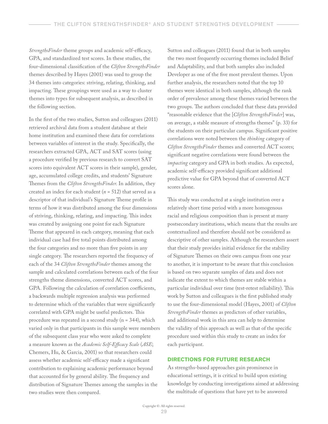*StrengthsFinder* theme groups and academic self-efficacy, GPA, and standardized test scores. In these studies, the four-dimensional classification of the *Clifton StrengthsFinder* themes described by Hayes (2001) was used to group the 34 themes into categories: striving, relating, thinking, and impacting. These groupings were used as a way to cluster themes into types for subsequent analysis, as described in the following section.

In the first of the two studies, Sutton and colleagues (2011) retrieved archival data from a student database at their home institution and examined these data for correlations between variables of interest in the study. Specifically, the researchers extracted GPA, ACT and SAT scores (using a procedure verified by previous research to convert SAT scores into equivalent ACT scores in their sample), gender, age, accumulated college credits, and students' Signature Themes from the *Clifton StrengthsFinder*. In addition, they created an index for each student ( $n = 512$ ) that served as a descriptor of that individual's Signature Theme profile in terms of how it was distributed among the four dimensions of striving, thinking, relating, and impacting. This index was created by assigning one point for each Signature Theme that appeared in each category, meaning that each individual case had five total points distributed among the four categories and no more than five points in any single category. The researchers reported the frequency of each of the 34 *Clifton StrengthsFinder* themes among the sample and calculated correlations between each of the four strengths theme dimensions, converted ACT scores, and GPA. Following the calculation of correlation coefficients, a backwards multiple regression analysis was performed to determine which of the variables that were significantly correlated with GPA might be useful predictors. This procedure was repeated in a second study (n = 344), which varied only in that participants in this sample were members of the subsequent class year who were asked to complete a measure known as the *Academic Self-Efficacy Scale* (*ASE*; Chemers, Hu, & Garcia, 2001) so that researchers could assess whether academic self-efficacy made a significant contribution to explaining academic performance beyond that accounted for by general ability. The frequency and distribution of Signature Themes among the samples in the two studies were then compared.

Sutton and colleagues (2011) found that in both samples the two most frequently occurring themes included Belief and Adaptability, and that both samples also included Developer as one of the five most prevalent themes. Upon further analysis, the researchers noted that the top 10 themes were identical in both samples, although the rank order of prevalence among these themes varied between the two groups. The authors concluded that these data provided "reasonable evidence that the [*Clifton StrengthsFinder*] was, on average, a stable measure of strengths themes" (p. 33) for the students on their particular campus. Significant positive correlations were noted between the *thinking* category of *Clifton StrengthsFinder* themes and converted ACT scores; significant negative correlations were found between the *impacting* category and GPA in both studies. As expected, academic self-efficacy provided significant additional predictive value for GPA beyond that of converted ACT scores alone.

This study was conducted at a single institution over a relatively short time period with a more homogenous racial and religious composition than is present at many postsecondary institutions, which means that the results are contextualized and therefore should not be considered as descriptive of other samples. Although the researchers assert that their study provides initial evidence for the stability of Signature Themes on their own campus from one year to another, it is important to be aware that this conclusion is based on two separate samples of data and does not indicate the extent to which themes are stable within a particular individual over time (test-retest reliability). This work by Sutton and colleagues is the first published study to use the four-dimensional model (Hayes, 2001) of *Clifton StrengthsFinder* themes as predictors of other variables, and additional work in this area can help to determine the validity of this approach as well as that of the specific procedure used within this study to create an index for each participant.

#### **DIRECTIONS FOR FUTURE RESEARCH**

As strengths-based approaches gain prominence in educational settings, it is critical to build upon existing knowledge by conducting investigations aimed at addressing the multitude of questions that have yet to be answered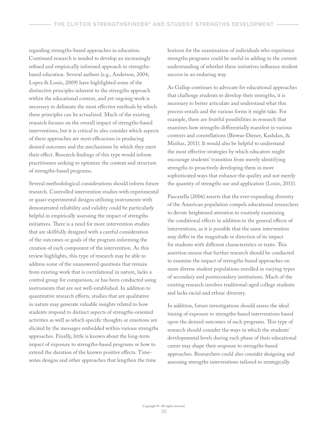regarding strengths-based approaches in education. Continued research is needed to develop an increasingly refined and empirically informed approach to strengthsbased education. Several authors (e.g., Anderson, 2004; Lopez & Louis, 2009) have highlighted some of the distinctive principles inherent to the strengths approach within the educational context, and yet ongoing work is necessary to delineate the most effective methods by which these principles can be actualized. Much of the existing research focuses on the overall impact of strengths-based interventions, but it is critical to also consider which aspects of these approaches are most efficacious in producing desired outcomes and the mechanisms by which they exert their effect. Research findings of this type would inform practitioners seeking to optimize the content and structure of strengths-based programs.

Several methodological considerations should inform future research. Controlled intervention studies with experimental or quasi-experimental designs utilizing instruments with demonstrated reliability and validity could be particularly helpful in empirically assessing the impact of strengths initiatives. There is a need for more intervention studies that are skillfully designed with a careful consideration of the outcomes or goals of the program informing the creation of each component of the intervention. As this review highlights, this type of research may be able to address some of the unanswered questions that remain from existing work that is correlational in nature, lacks a control group for comparison, or has been conducted using instruments that are not well-established. In addition to quantitative research efforts, studies that are qualitative in nature may generate valuable insights related to how students respond to distinct aspects of strengths-oriented activities as well as which specific thoughts or emotions are elicited by the messages embedded within various strengths approaches. Finally, little is known about the long-term impact of exposure to strengths-based programs or how to extend the duration of the known positive effects. Timeseries designs and other approaches that lengthen the time

horizon for the examination of individuals who experience strengths programs could be useful in adding to the current understanding of whether these initiatives influence student success in an enduring way.

As Gallup continues to advocate for educational approaches that challenge students to develop their strengths, it is necessary to better articulate and understand what this process entails and the various forms it might take. For example, there are fruitful possibilities in research that examines how strengths differentially manifest in various contexts and constellations (Biswas-Diener, Kashdan, & Minhas, 2011). It would also be helpful to understand the most effective strategies by which educators might encourage students' transition from merely identifying strengths to proactively developing them in more sophisticated ways that enhance the quality and not merely the quantity of strengths use and application (Louis, 2011).

Pascarella (2006) asserts that the ever-expanding diversity of the American population compels educational researchers to devote heightened attention to routinely examining the conditional effects in addition to the general effects of interventions, as it is possible that the same intervention may differ in the magnitude or direction of its impact for students with different characteristics or traits. This assertion means that further research should be conducted to examine the impact of strengths-based approaches on more diverse student populations enrolled in varying types of secondary and postsecondary institutions. Much of the existing research involves traditional-aged college students and lacks racial and ethnic diversity.

In addition, future investigations should assess the ideal timing of exposure to strengths-based interventions based upon the desired outcomes of such programs. This type of research should consider the ways in which the students' developmental levels during each phase of their educational career may shape their response to strengths-based approaches. Researchers could also consider designing and assessing strengths interventions tailored to strategically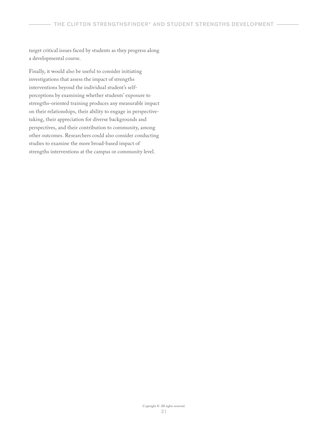target critical issues faced by students as they progress along a developmental course.

Finally, it would also be useful to consider initiating investigations that assess the impact of strengths interventions beyond the individual student's selfperceptions by examining whether students' exposure to strengths-oriented training produces any measurable impact on their relationships, their ability to engage in perspectivetaking, their appreciation for diverse backgrounds and perspectives, and their contribution to community, among other outcomes. Researchers could also consider conducting studies to examine the more broad-based impact of strengths interventions at the campus or community level.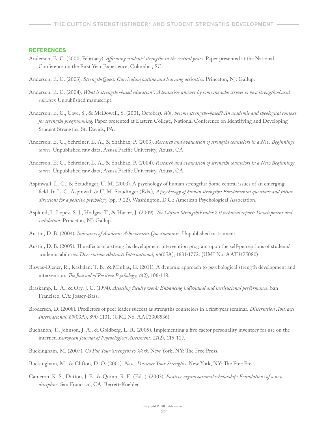#### **REFERENCES**

- Anderson, E. C. (2000, February). *Affirming students' strengths in the critical years*. Paper presented at the National Conference on the First Year Experience, Columbia, SC.
- Anderson, E. C. (2003). *StrengthsQuest: Curriculum outline and learning activities*. Princeton, NJ: Gallup.
- Anderson, E. C. (2004). *What is strengths-based education?: A tentative answer by someone who strives to be a strengths-based educator*. Unpublished manuscript.
- Anderson, E. C., Cave, S., & McDowell, S. (2001, October). *Why become strengths-based? An academic and theological context for strengths programming.* Paper presented at Eastern College, National Conference on Identifying and Developing Student Strengths, St. Davids, PA.
- Anderson, E. C., Schreiner, L. A., & Shahbaz, P. (2003). *Research and evaluation of strengths counselors in a New Beginnings course*. Unpublished raw data, Azusa Pacific University, Azusa, CA.
- Anderson, E. C., Schreiner, L. A., & Shahbaz, P. (2004). *Research and evaluation of strengths counselors in a New Beginnings course*. Unpublished raw data, Azusa Pacific University, Azusa, CA.
- Aspinwall, L. G., & Staudinger, U. M. (2003). A psychology of human strengths: Some central issues of an emerging field. In L. G. Aspinwall & U. M. Staudinger (Eds.), *A psychology of human strengths: Fundamental questions and future directions for a positive psychology* (pp. 9-22). Washington, D.C.: American Psychological Association.
- Asplund, J., Lopez, S. J., Hodges, T., & Harter, J. (2009). *The Clifton StrengthsFinder 2.0 technical report: Development and validation.* Princeton, NJ: Gallup.
- Austin, D. B. (2004). *Indicators of Academic Achievement Questionnaire*. Unpublished instrument.
- Austin, D. B. (2005). The effects of a strengths development intervention program upon the self-perceptions of students' academic abilities. *Dissertation Abstracts International, 66*(05A), 1631-1772. (UMI No. AAT3175080)
- Biswas-Diener, R., Kashdan, T. B., & Minhas, G. (2011). A dynamic approach to psychological strength development and intervention. *The Journal of Positive Psychology, 6*(2), 106-118.
- Braskamp, L. A., & Ory, J. C. (1994). *Assessing faculty work: Enhancing individual and institutional performance*. San Francisco, CA: Jossey-Bass.
- Brodersen, D. (2008). Predictors of peer leader success as strengths counselors in a first-year seminar. *Dissertation Abstracts International, 69*(03A), 890-1131. (UMI No. AAT3308536)
- Buchanon, T., Johnson, J. A., & Goldberg, L. R. (2005). Implementing a five-factor personality inventory for use on the internet. *European Journal of Psychological Assessment, 21*(2), 115-127.
- Buckingham, M. (2007). *Go Put Your Strengths to Work*. New York, NY: The Free Press.
- Buckingham, M., & Clifton, D. O. (2001). *Now, Discover Your Strengths.* New York, NY: The Free Press.
- Cameron, K. S., Dutton, J. E., & Quinn, R. E. (Eds.). (2003). *Positive organizational scholarship: Foundations of a new discipline.* San Francisco, CA: Berrett-Koehler.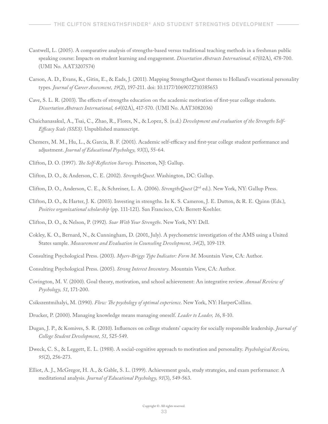- Cantwell, L. (2005). A comparative analysis of strengths-based versus traditional teaching methods in a freshman public speaking course: Impacts on student learning and engagement. *Dissertation Abstracts International, 67*(02A), 478-700. (UMI No. AAT3207574)
- Carson, A. D., Evans, K., Gitin, E., & Eads, J. (2011). Mapping StrengthsQuest themes to Holland's vocational personality types*. Journal of Career Assessment, 19*(2), 197-211. doi: 10.1177/1069072710385653
- Cave, S. L. R. (2003). The effects of strengths education on the academic motivation of first-year college students. *Dissertation Abstracts International, 64*(02A), 417-570. (UMI No. AAT3082036)
- Chaichanasakul, A., Tsai, C., Zhao, R., Flores, N., & Lopez, S. (n.d.) *Development and evaluation of the Strengths Self-Efficacy Scale (SSES).* Unpublished manuscript.
- Chemers, M. M., Hu, L., & Garcia, B. F. (2001). Academic self-efficacy and first-year college student performance and adjustment. *Journal of Educational Psychology, 93*(1), 55-64.
- Clifton, D. O. (1997). *The Self-Reflection Survey*. Princeton, NJ: Gallup.
- Clifton, D. O., & Anderson, C. E. (2002). *StrengthsQuest.* Washington, DC: Gallup.
- Clifton, D. O., Anderson, C. E., & Schreiner, L. A. (2006). *StrengthsQuest* (2nd ed.). New York, NY: Gallup Press.
- Clifton, D. O., & Harter, J. K. (2003). Investing in strengths. In K. S. Cameron, J. E. Dutton, & R. E. Quinn (Eds.), *Positive organizational scholarship* (pp. 111-121). San Francisco, CA: Berrett-Koehler.
- Clifton, D. O., & Nelson, P. (1992). *Soar With Your Strengths*. New York, NY: Dell.
- Cokley, K. O., Bernard, N., & Cunningham, D. (2001, July). A psychometric investigation of the AMS using a United States sample. *Measurement and Evaluation in Counseling Development, 34*(2), 109-119.
- Consulting Psychological Press. (2003). *Myers-Briggs Type Indicator: Form M*. Mountain View, CA: Author.
- Consulting Psychological Press. (2005). *Strong Interest Inventory*. Mountain View, CA: Author.
- Covington, M. V. (2000). Goal theory, motivation, and school achievement: An integrative review. *Annual Review of Psychology, 51*, 171-200.
- Csikszentmihalyi, M. (1990). *Flow: The psychology of optimal experience*. New York, NY: HarperCollins.
- Drucker, P. (2000). Managing knowledge means managing oneself. *Leader to Leader, 16*, 8-10.
- Dugan, J. P., & Komives, S. R. (2010). Influences on college students' capacity for socially responsible leadership. *Journal of College Student Development, 51*, 525-549.
- Dweck, C. S., & Leggett, E. L. (1988). A social-cognitive approach to motivation and personality. *Psychological Review, 95*(2), 256-273.
- Elliot, A. J., McGregor, H. A., & Gable, S. L. (1999). Achievement goals, study strategies, and exam performance: A meditational analysis. *Journal of Educational Psychology, 91*(3), 549-563.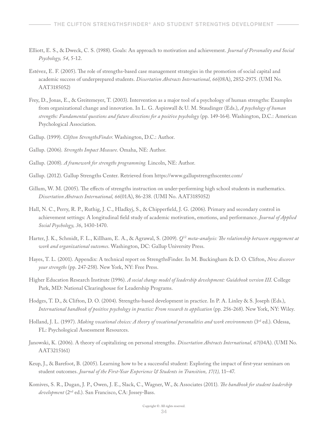- Elliott, E. S., & Dweck, C. S. (1988). Goals: An approach to motivation and achievement. *Journal of Personality and Social Psychology, 54*, 5-12.
- Estévez, E. F. (2005). The role of strengths-based case management strategies in the promotion of social capital and academic success of underprepared students. *Dissertation Abstracts International, 66*(08A), 2852-2975. (UMI No. AAT3185052)
- Frey, D., Jonas, E., & Greitemeyer, T. (2003). Intervention as a major tool of a psychology of human strengths: Examples from organizational change and innovation. In L. G. Aspinwall & U. M. Staudinger (Eds.), *A psychology of human strengths: Fundamental questions and future directions for a positive psychology* (pp. 149-164). Washington, D.C.: American Psychological Association.
- Gallup. (1999). *Clifton StrengthsFinder*. Washington, D.C.: Author.
- Gallup. (2006). *Strengths Impact Measure*. [Omaha](file:///Volumes/Clients/Exterran/QUESTIONNAIRES/MAIL/2012/WORKING/ur-PK/Omaha), NE: Author.
- Gallup. (2008). *A framework for strengths programming.* Lincoln, NE: Author.
- Gallup. (2012). Gallup Strengths Center. Retrieved from https://www.gallupstrengthscenter.com/
- Gillum, W. M. (2005). The effects of strengths instruction on under-performing high school students in mathematics. *Dissertation Abstracts International, 66*(01A), 86-238. (UMI No. AAT3185052)
- Hall, N. C., Perry, R. P., Ruthig, J. C., Hladkyj, S., & Chipperfield, J. G. (2006). Primary and secondary control in achievement settings: A longitudinal field study of academic motivation, emotions, and performance. *Journal of Applied Social Psychology, 36*, 1430-1470.
- Harter, J. K., Schmidt, F. L., Killham, E. A., & Agrawal, S. (2009). *Q*<sup>12</sup> *meta-analysis: The relationship between engagement at work and organizational outcomes*. Washington, DC: Gallup University Press.
- Hayes, T. L. (2001). Appendix: A technical report on StrengthsFinder. In M. Buckingham & D. O. Clifton, *Now discover your strengths* (pp. 247-258). New York, NY: Free Press.
- Higher Education Research Institute (1996). *A social change model of leadership development: Guidebook version III*. College Park, MD: National Clearinghouse for Leadership Programs.
- Hodges, T. D., & Clifton, D. O. (2004). Strengths-based development in practice. In P. A. Linley & S. Joseph (Eds.), *International handbook of positive psychology in practice: From research to application* (pp. 256-268). New York, NY: Wiley.
- Holland, J. L. (1997). *Making vocational choices: A theory of vocational personalities and work environments* (3rd ed.). Odessa, FL: Psychological Assessment Resources.
- Janowski, K. (2006). A theory of capitalizing on personal strengths. *Dissertation Abstracts International, 67*(04A). (UMI No. AAT3215161)
- Keup, J., & Barefoot, B. (2005). Learning how to be a successful student: Exploring the impact of first-year seminars on student outcomes. *Journal of the First-Year Experience & Students in Transition, 17(1),* 11–47.
- Komives, S. R., Dugan, J. P., Owen, J. E., Slack, C., Wagner, W., & Associates (2011). *The handbook for student leadership development* (2nd ed.). San Francisco, CA: Jossey-Bass.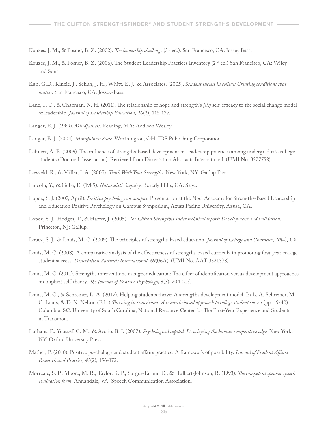Kouzes, J. M., & Posner, B. Z. (2002). *The leadership challenge* (3rd ed.). San Francisco, CA: Jossey Bass.

- Kouzes, J. M., & Posner, B. Z. (2006). The Student Leadership Practices Inventory (2<sup>nd</sup> ed.) San Francisco, CA: Wiley and Sons.
- Kuh, G.D., Kinzie, J., Schuh, J. H., Whitt, E. J., & Associates. (2005). *Student success in college: Creating conditions that matter*. San Francisco, CA: Jossey-Bass.
- Lane, F. C., & Chapman, N. H. (2011). The relationship of hope and strength's *[sic]* self-efficacy to the social change model of leadership. *Journal of Leadership Education, 10*(2), 116-137.
- Langer, E. J. (1989). *Mindfulness*. Reading, MA: Addison Wesley.
- Langer, E. J. (2004). *Mindfulness Scale*. Worthington, OH: IDS Publishing Corporation.
- Lehnert, A. B. (2009). The influence of strengths-based development on leadership practices among undergraduate college students (Doctoral dissertation). Retrieved from Dissertation Abstracts International. (UMI No. 3377758)
- Liesveld, R., & Miller, J. A. (2005). *Teach With Your Strengths*. New York, NY: Gallup Press.
- Lincoln, Y., & Guba, E. (1985). *Naturalistic inquiry*. Beverly Hills, CA: Sage.
- Lopez, S. J. (2007, April). *Positive psychology on campus*. Presentation at the Noel Academy for Strengths-Based Leadership and Education Positive Psychology on Campus Symposium, Azusa Pacific University, Azusa, CA.
- Lopez, S. J., Hodges, T., & Harter, J. (2005). *The Clifton StrengthsFinder technical report: Development and validation*. Princeton, NJ: Gallup.
- Lopez, S. J., & Louis, M. C. (2009). The principles of strengths-based education. *Journal of College and Character, 10*(4), 1-8.
- Louis, M. C. (2008). A comparative analysis of the effectiveness of strengths-based curricula in promoting first-year college student success. *Dissertation Abstracts International,* 69(06A). (UMI No. AAT 3321378)
- Louis, M. C. (2011). Strengths interventions in higher education: The effect of identification versus development approaches on implicit self-theory. *The Journal of Positive Psychology, 6*(3), 204-215.
- Louis, M. C., & Schreiner, L. A. (2012). Helping students thrive: A strengths development model. In L. A. Schreiner, M. C. Louis, & D. N. Nelson (Eds.) *Thriving in transitions: A research-based approach to college student success* (pp. 19-40). Columbia, SC: University of South Carolina, National Resource Center for The First-Year Experience and Students in Transition.
- Luthans, F., Youssef, C. M., & Avolio, B. J. (2007). *Psychological capital: Developing the human competitive edge.* New York, NY: Oxford University Press.
- Mather, P. (2010). Positive psychology and student affairs practice: A framework of possibility. *Journal of Student Affairs Research and Practice, 47*(2), 156-172.
- Morreale, S. P., Moore, M. R., Taylor, K. P., Surges-Tatum, D., & Hulbert-Johnson, R. (1993). *The competent speaker speech evaluation form*. Annandale, VA: Speech Communication Association.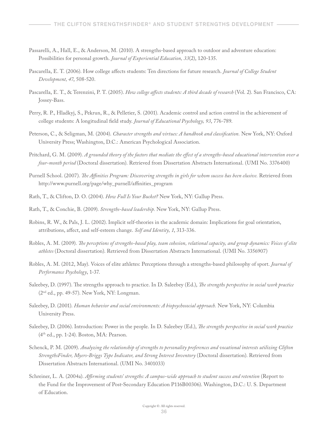- Passarelli, A., Hall, E., & Anderson, M. (2010). A strengths-based approach to outdoor and adventure education: Possibilities for personal growth. *Journal of Experiential Education, 33*(2), 120-135.
- Pascarella, E. T. (2006). How college affects students: Ten directions for future research. *Journal of College Student Development, 47*, 508-520.
- Pascarella, E. T., & Terenzini, P. T. (2005). *How college affects students: A third decade of research* (Vol. 2). San Francisco, CA: Jossey-Bass.
- Perry, R. P., Hladkyj, S., Pekrun, R., & Pelletier, S. (2001). Academic control and action control in the achievement of college students: A longitudinal field study. *Journal of Educational Psychology, 93*, 776-789.
- Peterson, C., & Seligman, M. (2004). *Character strengths and virtues: A handbook and classification.* New York, NY: Oxford University Press; Washington, D.C.: American Psychological Association.
- Pritchard, G. M. (2009). *A grounded theory of the factors that mediate the effect of a strengths-based educational intervention over a four-month period* (Doctoral dissertation). Retrieved from Dissertation Abstracts International. (UMI No. 3376400)
- Purnell School. (2007). *The Affinities Program: Discovering strengths in girls for whom success has been elusive.* Retrieved from [http://www.purnell.org/page/why\\_purnell/affinities\\_program](http://www.purnell.org/page/why_purnell/affinities_program)
- Rath, T., & Clifton, D. O. (2004). *How Full Is Your Bucket?* New York, NY: Gallup Press.
- Rath, T., & Conchie, B. (2009). *Strengths-based leadership.* New York, NY: Gallup Press.
- Robins, R. W., & Pals, J. L. (2002). Implicit self-theories in the academic domain: Implications for goal orientation, attributions, affect, and self-esteem change. *Self and Identity, 1*, 313-336.
- Robles, A. M. (2009). *The perceptions of strengths-based play, team cohesion, relational capacity, and group dynamics: Voices of elite athletes* (Doctoral dissertation). Retrieved from Dissertation Abstracts International. (UMI No. 3356907)
- Robles, A. M. (2012, May). Voices of elite athletes: Perceptions through a strengths-based philosophy of sport. *Journal of Performance Psychology*, 1-37.
- Saleebey, D. (1997). The strengths approach to practice. In D. Saleebey (Ed.), *The strengths perspective in social work practice* (2nd ed., pp. 49-57). New York, NY: Longman.
- Saleebey, D. (2001). *Human behavior and social environments: A biopsychosocial approach.* New York, NY: Columbia University Press.
- Saleebey, D. (2006). Introduction: Power in the people. In D. Saleebey (Ed.), *The strengths perspective in social work practice*  (4th ed., pp. 1-24). Boston, MA: Pearson.
- Schenck, P. M. (2009). *Analyzing the relationship of strengths to personality preferences and vocational interests utilizing Clifton StrengthsFinder, Myers-Briggs Type Indicator, and Strong Interest Inventory* (Doctoral dissertation). Retrieved from Dissertation Abstracts International. (UMI No. 3401033)
- Schreiner, L. A. (2004a). *Affirming students' strengths: A campus-wide approach to student success and retention* (Report to the Fund for the Improvement of Post-Secondary Education P116B00306). Washington, D.C.: U. S. Department of Education.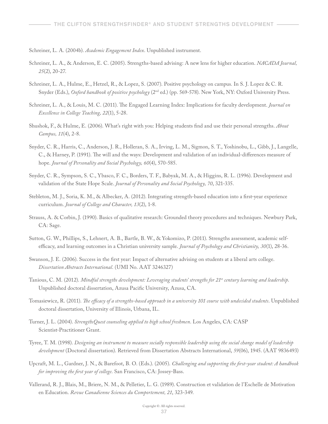Schreiner, L. A. (2004b). *Academic Engagement Index*. Unpublished instrument.

- Schreiner, L. A., & Anderson, E. C. (2005). Strengths-based advising: A new lens for higher education. *NACADA Journal, 25*(2), 20-27.
- Schreiner, L. A., Hulme, E., Hetzel, R., & Lopez, S. (2007). Positive psychology on campus*.* In S. J. Lopez & C. R. Snyder (Eds.), *Oxford handbook of positive psychology* (2nd ed.) (pp. 569-578). New York, NY: Oxford University Press.
- Schreiner, L. A., & Louis, M. C. (2011). The Engaged Learning Index: Implications for faculty development. *Journal on Excellence in College Teaching, 22*(1), 5-28.
- Shushok, F., & Hulme, E. (2006). What's right with you: Helping students find and use their personal strengths. *About Campus, 11*(4), 2-8.
- Snyder, C. R., Harris, C., Anderson, J. R., Holleran, S. A., Irving, L. M., Sigmon, S. T., Yoshinobu, L., Gibb, J., Langelle, C., & Harney, P. (1991). The will and the ways: Development and validation of an individual-differences measure of hope. *Journal of Personality and Social Psychology, 60*(4), 570-585.
- Snyder, C. R., Sympson, S. C., Ybasco, F. C., Borders, T. F., Babyak, M. A., & Higgins, R. L. (1996). Development and validation of the State Hope Scale. *Journal of Personality and Social Psychology, 70*, 321-335.
- Stebleton, M. J., Soria, K. M., & Albecker, A. (2012). Integrating strength-based education into a first-year experience curriculum. *Journal of College and Character, 13*(2), 1-8.
- Strauss, A. & Corbin, J. (1990). Basics of qualitative research: Grounded theory procedures and techniques. Newbury Park, CA: Sage.
- Sutton, G. W., Phillips, S., Lehnert, A. B., Bartle, B. W., & Yokomizo, P. (2011). Strengths assessment, academic selfefficacy, and learning outcomes in a Christian university sample. *Journal of Psychology and Christianity, 30*(1), 28-36.
- Swanson, J. E. (2006). Success in the first year: Impact of alternative advising on students at a liberal arts college. *Dissertation Abstracts International*. (UMI No. AAT 3246327)
- Tanious, C. M. (2012). *Mindful strengths development: Leveraging students' strengths for 21*st *century learning and leadership*. Unpublished doctoral dissertation, Azusa Pacific University, Azusa, CA.
- Tomasiewicz, R. (2011). *The efficacy of a strengths-based approach in a university 101 course with undecided students*. Unpublished doctoral dissertation, University of Illinois, Urbana, IL.
- Turner, J. L. (2004). *StrengthsQuest counseling applied to high school freshmen*. Los Angeles, CA: CASP Scientist-Practitioner Grant.
- Tyree, T. M. (1998). *Designing an instrument to measure socially responsible leadership using the social change model of leadership development* (Doctoral dissertation). Retrieved from Dissertation Abstracts International, *59*(06), 1945. (AAT 9836493)
- Upcraft, M. L., Gardner, J. N., & Barefoot, B. O. (Eds.). (2005). *Challenging and supporting the first-year student: A handbook for improving the first year of college*. San Francisco, CA: Jossey-Bass.
- Vallerand, R. J., Blais, M., Briere, N. M., & Pelletier, L. G. (1989). Construction et validation de l'Eschelle de Motivation en Education. *Revue Canadienne Sciences du Comportement, 21*, 323-349.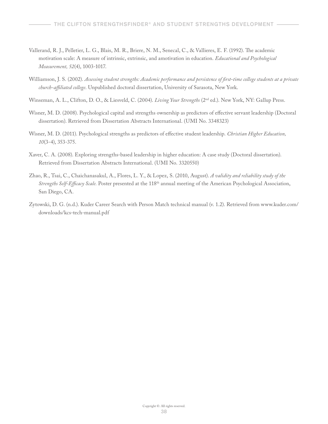- Vallerand, R. J., Pelletier, L. G., Blais, M. R., Briere, N. M., Senecal, C., & Vallieres, E. F. (1992). The academic motivation scale: A measure of intrinsic, extrinsic, and amotivation in education. *Educational and Psychological Measurement, 52*(4), 1003-1017.
- Williamson, J. S. (2002). *Assessing student strengths: Academic performance and persistence of first-time college students at a private church-affiliated college*. Unpublished doctoral dissertation, University of Sarasota, New York.
- Winseman, A. L., Clifton, D. O., & Liesveld, C. (2004). *Living Your Strengths* (2nd ed.). New York, NY: Gallup Press.
- Wisner, M. D. (2008). Psychological capital and strengths ownership as predictors of effective servant leadership (Doctoral dissertation). Retrieved from Dissertation Abstracts International. (UMI No. 3348323)
- Wisner, M. D. (2011). Psychological strengths as predictors of effective student leadership. *Christian Higher Education, 10*(3-4), 353-375.
- Xaver, C. A. (2008). Exploring strengths-based leadership in higher education: A case study (Doctoral dissertation). Retrieved from Dissertation Abstracts International. (UMI No. 3320550)
- Zhao, R., Tsai, C., Chaichanasakul, A., Flores, L. Y., & Lopez, S. (2010, August). *A validity and reliability study of the Strengths Self-Efficacy Scale.* Poster presented at the 118th annual meeting of the American Psychological Association, San Diego, CA.
- Zytowski, D. G. (n.d.). Kuder Career Search with Person Match technical manual (v. 1.2). Retrieved from www.kuder.com/ downloads/kcs-tech-manual.pdf